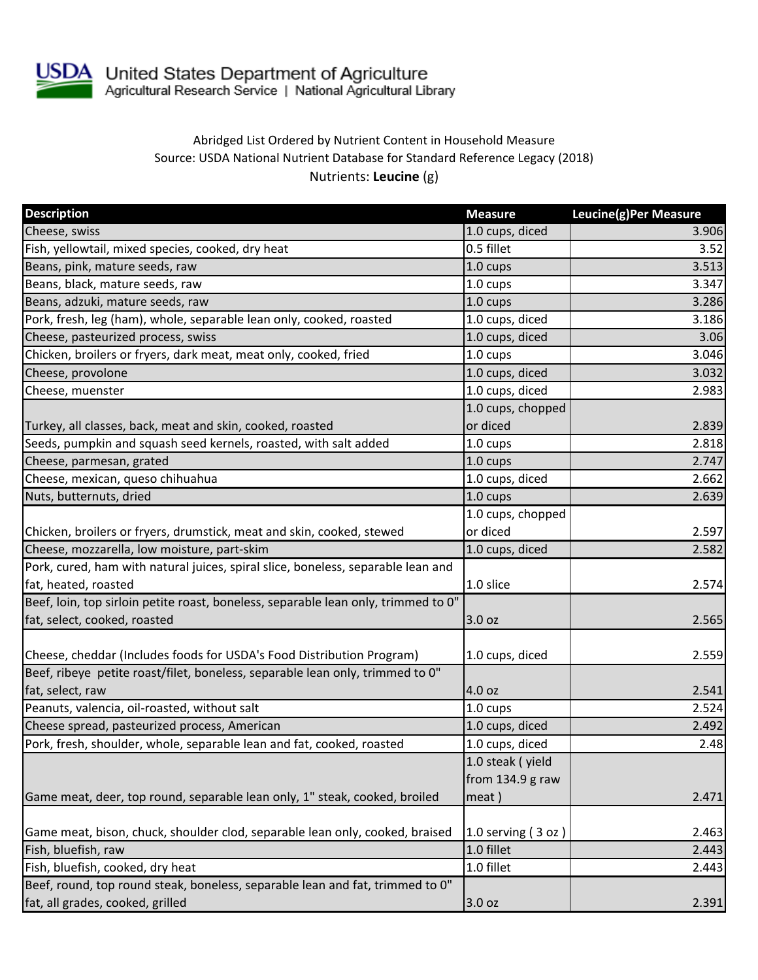

## Abridged List Ordered by Nutrient Content in Household Measure Source: USDA National Nutrient Database for Standard Reference Legacy (2018) Nutrients: **Leucine** (g)

| <b>Description</b>                                                                 | <b>Measure</b>     | Leucine(g)Per Measure |
|------------------------------------------------------------------------------------|--------------------|-----------------------|
| Cheese, swiss                                                                      | 1.0 cups, diced    | 3.906                 |
| Fish, yellowtail, mixed species, cooked, dry heat                                  | 0.5 fillet         | 3.52                  |
| Beans, pink, mature seeds, raw                                                     | 1.0 cups           | 3.513                 |
| Beans, black, mature seeds, raw                                                    | 1.0 cups           | 3.347                 |
| Beans, adzuki, mature seeds, raw                                                   | 1.0 cups           | 3.286                 |
| Pork, fresh, leg (ham), whole, separable lean only, cooked, roasted                | 1.0 cups, diced    | 3.186                 |
| Cheese, pasteurized process, swiss                                                 | 1.0 cups, diced    | 3.06                  |
| Chicken, broilers or fryers, dark meat, meat only, cooked, fried                   | 1.0 cups           | 3.046                 |
| Cheese, provolone                                                                  | 1.0 cups, diced    | 3.032                 |
| Cheese, muenster                                                                   | 1.0 cups, diced    | 2.983                 |
|                                                                                    | 1.0 cups, chopped  |                       |
| Turkey, all classes, back, meat and skin, cooked, roasted                          | or diced           | 2.839                 |
| Seeds, pumpkin and squash seed kernels, roasted, with salt added                   | 1.0 cups           | 2.818                 |
| Cheese, parmesan, grated                                                           | 1.0 cups           | 2.747                 |
| Cheese, mexican, queso chihuahua                                                   | 1.0 cups, diced    | 2.662                 |
| Nuts, butternuts, dried                                                            | 1.0 cups           | 2.639                 |
|                                                                                    | 1.0 cups, chopped  |                       |
| Chicken, broilers or fryers, drumstick, meat and skin, cooked, stewed              | or diced           | 2.597                 |
| Cheese, mozzarella, low moisture, part-skim                                        | 1.0 cups, diced    | 2.582                 |
| Pork, cured, ham with natural juices, spiral slice, boneless, separable lean and   |                    |                       |
| fat, heated, roasted                                                               | 1.0 slice          | 2.574                 |
| Beef, loin, top sirloin petite roast, boneless, separable lean only, trimmed to 0" |                    |                       |
| fat, select, cooked, roasted                                                       | 3.0 oz             | 2.565                 |
|                                                                                    |                    |                       |
| Cheese, cheddar (Includes foods for USDA's Food Distribution Program)              | 1.0 cups, diced    | 2.559                 |
| Beef, ribeye petite roast/filet, boneless, separable lean only, trimmed to 0"      |                    |                       |
| fat, select, raw                                                                   | 4.0 oz             | 2.541                 |
| Peanuts, valencia, oil-roasted, without salt                                       | 1.0 cups           | 2.524                 |
| Cheese spread, pasteurized process, American                                       | 1.0 cups, diced    | 2.492                 |
| Pork, fresh, shoulder, whole, separable lean and fat, cooked, roasted              | 1.0 cups, diced    | 2.48                  |
|                                                                                    | 1.0 steak (yield   |                       |
|                                                                                    | from $134.9$ g raw |                       |
| Game meat, deer, top round, separable lean only, 1" steak, cooked, broiled         | meat)              | 2.471                 |
|                                                                                    |                    |                       |
| Game meat, bison, chuck, shoulder clod, separable lean only, cooked, braised       | 1.0 serving (3 oz) | 2.463                 |
| Fish, bluefish, raw                                                                | 1.0 fillet         | 2.443                 |
| Fish, bluefish, cooked, dry heat                                                   | 1.0 fillet         | 2.443                 |
| Beef, round, top round steak, boneless, separable lean and fat, trimmed to 0"      |                    |                       |
| fat, all grades, cooked, grilled                                                   | 3.0 oz             | 2.391                 |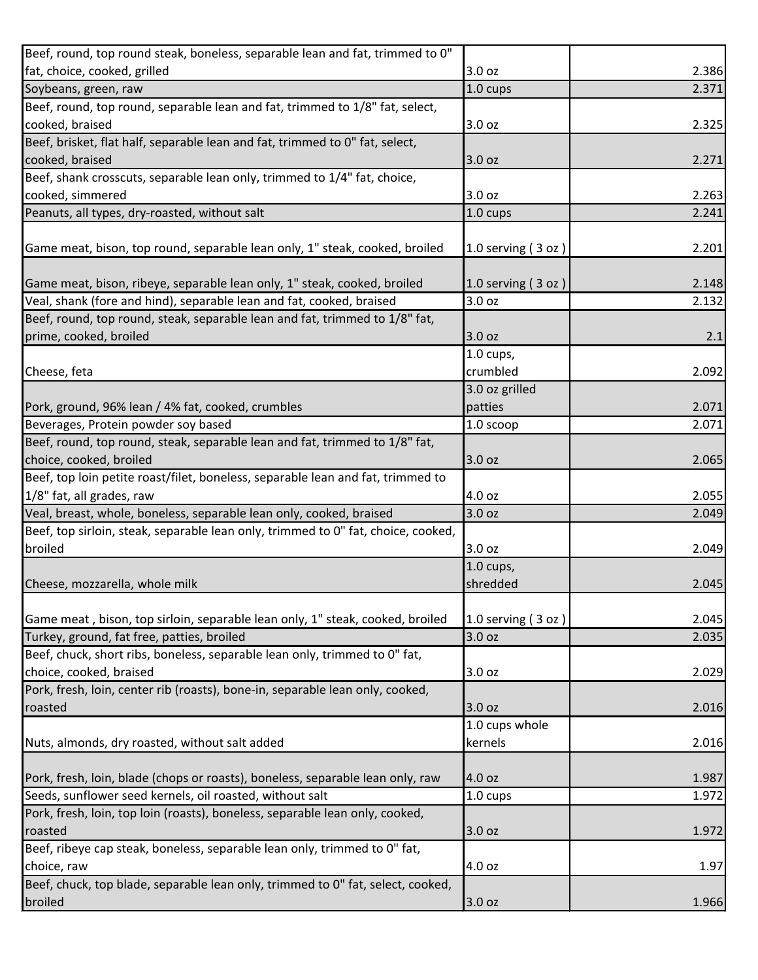| Beef, round, top round steak, boneless, separable lean and fat, trimmed to 0"     |                      |       |
|-----------------------------------------------------------------------------------|----------------------|-------|
| fat, choice, cooked, grilled                                                      | 3.0 oz               | 2.386 |
| Soybeans, green, raw                                                              | 1.0 cups             | 2.371 |
| Beef, round, top round, separable lean and fat, trimmed to 1/8" fat, select,      |                      |       |
| cooked, braised                                                                   | 3.0 oz               | 2.325 |
| Beef, brisket, flat half, separable lean and fat, trimmed to 0" fat, select,      |                      |       |
| cooked, braised                                                                   | 3.0 oz               | 2.271 |
| Beef, shank crosscuts, separable lean only, trimmed to 1/4" fat, choice,          |                      |       |
| cooked, simmered                                                                  | 3.0 oz               | 2.263 |
| Peanuts, all types, dry-roasted, without salt                                     | 1.0 cups             | 2.241 |
|                                                                                   |                      |       |
| Game meat, bison, top round, separable lean only, 1" steak, cooked, broiled       | 1.0 serving $(3 oz)$ | 2.201 |
| Game meat, bison, ribeye, separable lean only, 1" steak, cooked, broiled          | 1.0 serving (3 oz)   | 2.148 |
| Veal, shank (fore and hind), separable lean and fat, cooked, braised              | 3.0 oz               | 2.132 |
| Beef, round, top round, steak, separable lean and fat, trimmed to 1/8" fat,       |                      |       |
| prime, cooked, broiled                                                            | 3.0 oz               | 2.1   |
|                                                                                   | $1.0$ cups,          |       |
| Cheese, feta                                                                      | crumbled             | 2.092 |
|                                                                                   | 3.0 oz grilled       |       |
| Pork, ground, 96% lean / 4% fat, cooked, crumbles                                 | patties              | 2.071 |
| Beverages, Protein powder soy based                                               | 1.0 scoop            | 2.071 |
| Beef, round, top round, steak, separable lean and fat, trimmed to 1/8" fat,       |                      |       |
| choice, cooked, broiled                                                           | 3.0 oz               | 2.065 |
| Beef, top loin petite roast/filet, boneless, separable lean and fat, trimmed to   |                      |       |
| 1/8" fat, all grades, raw                                                         | 4.0 oz               | 2.055 |
| Veal, breast, whole, boneless, separable lean only, cooked, braised               | 3.0 oz               | 2.049 |
| Beef, top sirloin, steak, separable lean only, trimmed to 0" fat, choice, cooked, |                      |       |
| broiled                                                                           | 3.0 oz               | 2.049 |
|                                                                                   | $1.0$ cups,          |       |
| Cheese, mozzarella, whole milk                                                    | shredded             | 2.045 |
|                                                                                   |                      |       |
| Game meat, bison, top sirloin, separable lean only, 1" steak, cooked, broiled     | 1.0 serving (3 oz)   | 2.045 |
| Turkey, ground, fat free, patties, broiled                                        | 3.0 oz               | 2.035 |
| Beef, chuck, short ribs, boneless, separable lean only, trimmed to 0" fat,        |                      |       |
| choice, cooked, braised                                                           | 3.0 oz               | 2.029 |
| Pork, fresh, loin, center rib (roasts), bone-in, separable lean only, cooked,     |                      |       |
| roasted                                                                           | 3.0 oz               | 2.016 |
|                                                                                   | 1.0 cups whole       |       |
| Nuts, almonds, dry roasted, without salt added                                    | kernels              | 2.016 |
|                                                                                   |                      |       |
| Pork, fresh, loin, blade (chops or roasts), boneless, separable lean only, raw    | 4.0 oz               | 1.987 |
| Seeds, sunflower seed kernels, oil roasted, without salt                          | 1.0 cups             | 1.972 |
| Pork, fresh, loin, top loin (roasts), boneless, separable lean only, cooked,      |                      |       |
| roasted                                                                           | 3.0 oz               | 1.972 |
| Beef, ribeye cap steak, boneless, separable lean only, trimmed to 0" fat,         |                      |       |
| choice, raw                                                                       | 4.0 oz               | 1.97  |
| Beef, chuck, top blade, separable lean only, trimmed to 0" fat, select, cooked,   |                      |       |
| broiled                                                                           | 3.0 oz               | 1.966 |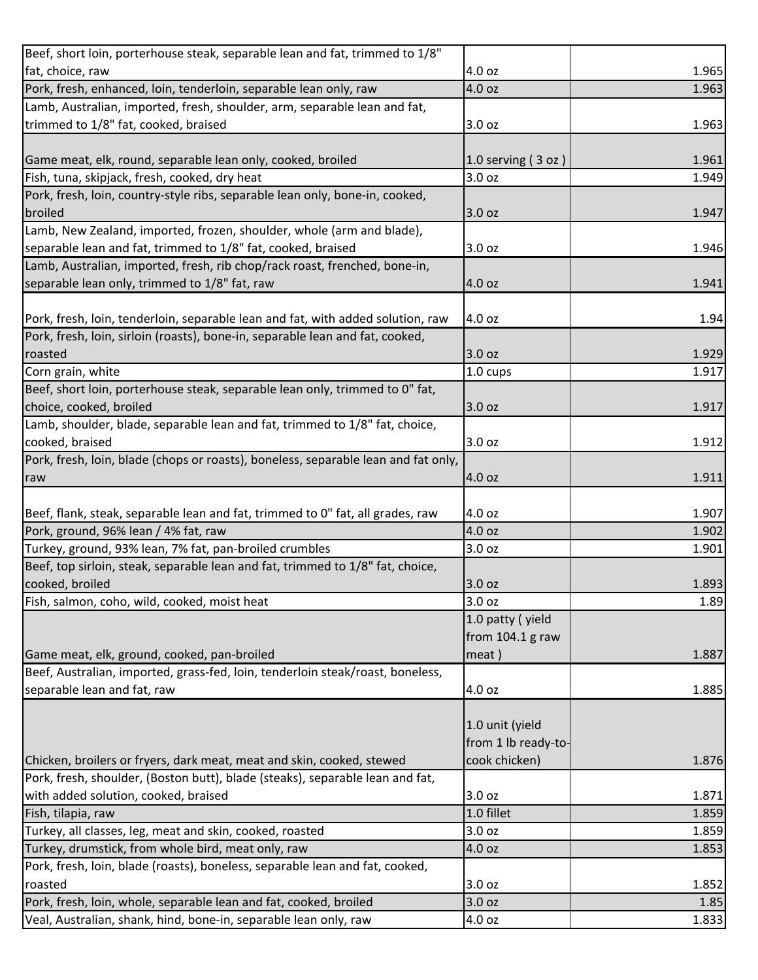| Beef, short loin, porterhouse steak, separable lean and fat, trimmed to 1/8"       |                     |       |
|------------------------------------------------------------------------------------|---------------------|-------|
| fat, choice, raw                                                                   | 4.0 oz              | 1.965 |
| Pork, fresh, enhanced, loin, tenderloin, separable lean only, raw                  | 4.0 oz              | 1.963 |
| Lamb, Australian, imported, fresh, shoulder, arm, separable lean and fat,          |                     |       |
| trimmed to 1/8" fat, cooked, braised                                               | 3.0 oz              | 1.963 |
|                                                                                    |                     |       |
| Game meat, elk, round, separable lean only, cooked, broiled                        | 1.0 serving (3 oz)  | 1.961 |
| Fish, tuna, skipjack, fresh, cooked, dry heat                                      | 3.0 oz              | 1.949 |
| Pork, fresh, loin, country-style ribs, separable lean only, bone-in, cooked,       |                     |       |
| broiled                                                                            | 3.0 oz              | 1.947 |
| Lamb, New Zealand, imported, frozen, shoulder, whole (arm and blade),              |                     |       |
| separable lean and fat, trimmed to 1/8" fat, cooked, braised                       | 3.0 oz              | 1.946 |
| Lamb, Australian, imported, fresh, rib chop/rack roast, frenched, bone-in,         |                     |       |
| separable lean only, trimmed to 1/8" fat, raw                                      | 4.0 oz              | 1.941 |
|                                                                                    |                     |       |
| Pork, fresh, loin, tenderloin, separable lean and fat, with added solution, raw    | 4.0 oz              | 1.94  |
| Pork, fresh, loin, sirloin (roasts), bone-in, separable lean and fat, cooked,      |                     |       |
| roasted                                                                            | 3.0 oz              | 1.929 |
| Corn grain, white                                                                  | 1.0 cups            | 1.917 |
| Beef, short loin, porterhouse steak, separable lean only, trimmed to 0" fat,       |                     |       |
| choice, cooked, broiled                                                            | 3.0 oz              | 1.917 |
| Lamb, shoulder, blade, separable lean and fat, trimmed to 1/8" fat, choice,        |                     |       |
| cooked, braised                                                                    | 3.0 oz              | 1.912 |
| Pork, fresh, loin, blade (chops or roasts), boneless, separable lean and fat only, |                     |       |
| raw                                                                                | 4.0 oz              | 1.911 |
|                                                                                    |                     |       |
| Beef, flank, steak, separable lean and fat, trimmed to 0" fat, all grades, raw     | 4.0 oz              | 1.907 |
| Pork, ground, 96% lean / 4% fat, raw                                               | 4.0 oz              | 1.902 |
| Turkey, ground, 93% lean, 7% fat, pan-broiled crumbles                             | 3.0 oz              | 1.901 |
| Beef, top sirloin, steak, separable lean and fat, trimmed to 1/8" fat, choice,     |                     |       |
| cooked, broiled                                                                    | 3.0 oz              | 1.893 |
| Fish, salmon, coho, wild, cooked, moist heat                                       | 3.0 oz              | 1.89  |
|                                                                                    | 1.0 patty (yield    |       |
|                                                                                    | from 104.1 g raw    |       |
| Game meat, elk, ground, cooked, pan-broiled                                        | meat)               | 1.887 |
| Beef, Australian, imported, grass-fed, loin, tenderloin steak/roast, boneless,     |                     |       |
| separable lean and fat, raw                                                        | 4.0 oz              | 1.885 |
|                                                                                    |                     |       |
|                                                                                    | 1.0 unit (yield     |       |
|                                                                                    | from 1 lb ready-to- |       |
| Chicken, broilers or fryers, dark meat, meat and skin, cooked, stewed              | cook chicken)       | 1.876 |
| Pork, fresh, shoulder, (Boston butt), blade (steaks), separable lean and fat,      |                     |       |
| with added solution, cooked, braised                                               | 3.0 oz              | 1.871 |
| Fish, tilapia, raw                                                                 | 1.0 fillet          | 1.859 |
| Turkey, all classes, leg, meat and skin, cooked, roasted                           | 3.0 oz              | 1.859 |
| Turkey, drumstick, from whole bird, meat only, raw                                 | 4.0 oz              | 1.853 |
| Pork, fresh, loin, blade (roasts), boneless, separable lean and fat, cooked,       |                     |       |
|                                                                                    |                     |       |
| roasted                                                                            | 3.0 oz              | 1.852 |
| Pork, fresh, loin, whole, separable lean and fat, cooked, broiled                  | 3.0 oz              | 1.85  |
| Veal, Australian, shank, hind, bone-in, separable lean only, raw                   | 4.0 oz              | 1.833 |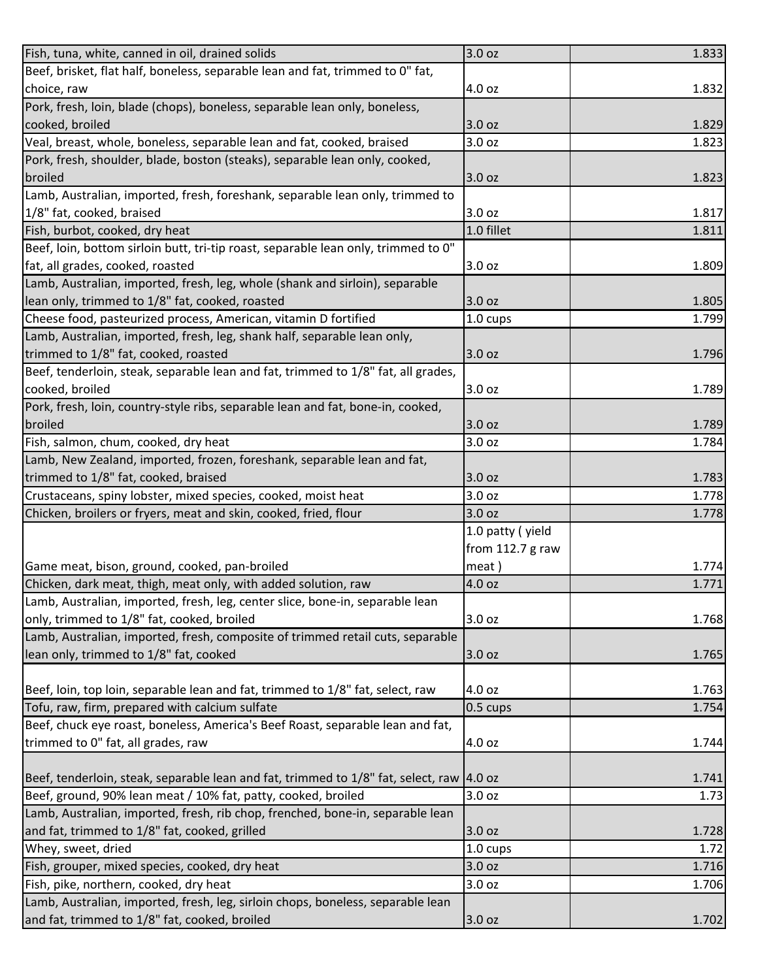| Fish, tuna, white, canned in oil, drained solids                                          | 3.0 oz             | 1.833          |
|-------------------------------------------------------------------------------------------|--------------------|----------------|
| Beef, brisket, flat half, boneless, separable lean and fat, trimmed to 0" fat,            |                    |                |
| choice, raw                                                                               | 4.0 oz             | 1.832          |
| Pork, fresh, loin, blade (chops), boneless, separable lean only, boneless,                |                    |                |
| cooked, broiled                                                                           | 3.0 oz             | 1.829          |
| Veal, breast, whole, boneless, separable lean and fat, cooked, braised                    | 3.0 oz             | 1.823          |
| Pork, fresh, shoulder, blade, boston (steaks), separable lean only, cooked,               |                    |                |
| broiled                                                                                   | 3.0 oz             | 1.823          |
| Lamb, Australian, imported, fresh, foreshank, separable lean only, trimmed to             |                    |                |
| 1/8" fat, cooked, braised                                                                 | 3.0 oz             | 1.817          |
| Fish, burbot, cooked, dry heat                                                            | 1.0 fillet         | 1.811          |
| Beef, loin, bottom sirloin butt, tri-tip roast, separable lean only, trimmed to 0"        |                    |                |
| fat, all grades, cooked, roasted                                                          | 3.0 oz             | 1.809          |
| Lamb, Australian, imported, fresh, leg, whole (shank and sirloin), separable              |                    |                |
| lean only, trimmed to 1/8" fat, cooked, roasted                                           | 3.0 oz             | 1.805          |
| Cheese food, pasteurized process, American, vitamin D fortified                           | 1.0 cups           | 1.799          |
| Lamb, Australian, imported, fresh, leg, shank half, separable lean only,                  |                    |                |
| trimmed to 1/8" fat, cooked, roasted                                                      | 3.0 oz             | 1.796          |
| Beef, tenderloin, steak, separable lean and fat, trimmed to 1/8" fat, all grades,         |                    |                |
| cooked, broiled                                                                           | 3.0 oz             | 1.789          |
| Pork, fresh, loin, country-style ribs, separable lean and fat, bone-in, cooked,           |                    |                |
| broiled                                                                                   | 3.0 oz             | 1.789          |
| Fish, salmon, chum, cooked, dry heat                                                      | 3.0 oz             | 1.784          |
| Lamb, New Zealand, imported, frozen, foreshank, separable lean and fat,                   |                    |                |
| trimmed to 1/8" fat, cooked, braised                                                      | 3.0 oz             | 1.783          |
|                                                                                           |                    |                |
| Crustaceans, spiny lobster, mixed species, cooked, moist heat                             | 3.0 oz             | 1.778          |
| Chicken, broilers or fryers, meat and skin, cooked, fried, flour                          | 3.0 oz             | 1.778          |
|                                                                                           | 1.0 patty (yield   |                |
|                                                                                           | from 112.7 g raw   |                |
| Game meat, bison, ground, cooked, pan-broiled                                             | meat)              | 1.774          |
| Chicken, dark meat, thigh, meat only, with added solution, raw                            | 4.0 oz             | 1.771          |
| Lamb, Australian, imported, fresh, leg, center slice, bone-in, separable lean             |                    |                |
| only, trimmed to 1/8" fat, cooked, broiled                                                | 3.0 oz             | 1.768          |
| Lamb, Australian, imported, fresh, composite of trimmed retail cuts, separable            |                    |                |
| lean only, trimmed to 1/8" fat, cooked                                                    | 3.0 oz             | 1.765          |
|                                                                                           |                    |                |
| Beef, loin, top loin, separable lean and fat, trimmed to 1/8" fat, select, raw            | 4.0 oz             | 1.763          |
| Tofu, raw, firm, prepared with calcium sulfate                                            | $0.5 \text{ cups}$ | 1.754          |
| Beef, chuck eye roast, boneless, America's Beef Roast, separable lean and fat,            |                    |                |
| trimmed to 0" fat, all grades, raw                                                        | 4.0 oz             | 1.744          |
|                                                                                           |                    |                |
| Beef, tenderloin, steak, separable lean and fat, trimmed to 1/8" fat, select, raw  4.0 oz |                    | 1.741          |
| Beef, ground, 90% lean meat / 10% fat, patty, cooked, broiled                             | 3.0 oz             | 1.73           |
| Lamb, Australian, imported, fresh, rib chop, frenched, bone-in, separable lean            |                    |                |
| and fat, trimmed to 1/8" fat, cooked, grilled                                             | 3.0 oz             |                |
| Whey, sweet, dried                                                                        | 1.0 cups           | 1.72           |
| Fish, grouper, mixed species, cooked, dry heat                                            | 3.0 oz             | 1.728<br>1.716 |
| Fish, pike, northern, cooked, dry heat                                                    | 3.0 oz             | 1.706          |
| Lamb, Australian, imported, fresh, leg, sirloin chops, boneless, separable lean           |                    |                |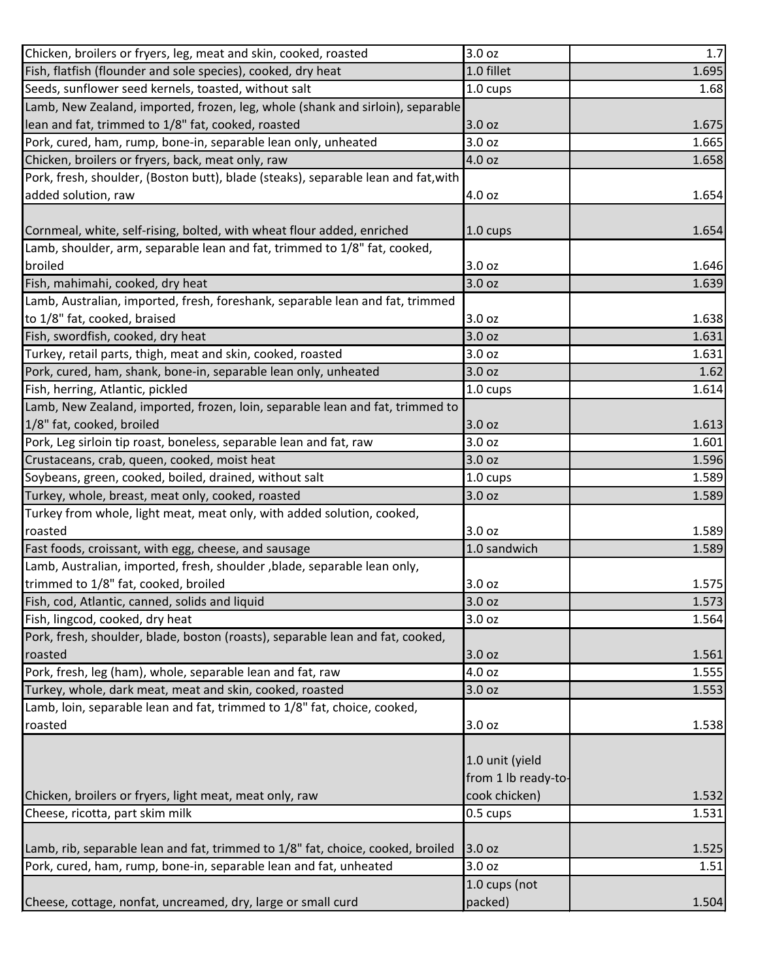| Chicken, broilers or fryers, leg, meat and skin, cooked, roasted                   | 3.0 oz              | 1.7   |
|------------------------------------------------------------------------------------|---------------------|-------|
| Fish, flatfish (flounder and sole species), cooked, dry heat                       | 1.0 fillet          | 1.695 |
| Seeds, sunflower seed kernels, toasted, without salt                               | 1.0 cups            | 1.68  |
| Lamb, New Zealand, imported, frozen, leg, whole (shank and sirloin), separable     |                     |       |
| lean and fat, trimmed to 1/8" fat, cooked, roasted                                 | 3.0 oz              | 1.675 |
| Pork, cured, ham, rump, bone-in, separable lean only, unheated                     | 3.0 oz              | 1.665 |
| Chicken, broilers or fryers, back, meat only, raw                                  | 4.0 oz              | 1.658 |
| Pork, fresh, shoulder, (Boston butt), blade (steaks), separable lean and fat, with |                     |       |
| added solution, raw                                                                | 4.0 oz              | 1.654 |
|                                                                                    |                     |       |
| Cornmeal, white, self-rising, bolted, with wheat flour added, enriched             | 1.0 cups            | 1.654 |
| Lamb, shoulder, arm, separable lean and fat, trimmed to 1/8" fat, cooked,          |                     |       |
| broiled                                                                            | 3.0 oz              | 1.646 |
| Fish, mahimahi, cooked, dry heat                                                   | 3.0 oz              | 1.639 |
| Lamb, Australian, imported, fresh, foreshank, separable lean and fat, trimmed      |                     |       |
| to 1/8" fat, cooked, braised                                                       | 3.0 oz              | 1.638 |
| Fish, swordfish, cooked, dry heat                                                  | 3.0 oz              | 1.631 |
| Turkey, retail parts, thigh, meat and skin, cooked, roasted                        | 3.0 oz              | 1.631 |
| Pork, cured, ham, shank, bone-in, separable lean only, unheated                    | 3.0 oz              | 1.62  |
| Fish, herring, Atlantic, pickled                                                   | 1.0 cups            | 1.614 |
| Lamb, New Zealand, imported, frozen, loin, separable lean and fat, trimmed to      |                     |       |
| 1/8" fat, cooked, broiled                                                          | 3.0 oz              | 1.613 |
| Pork, Leg sirloin tip roast, boneless, separable lean and fat, raw                 | 3.0 oz              | 1.601 |
| Crustaceans, crab, queen, cooked, moist heat                                       | 3.0 oz              | 1.596 |
| Soybeans, green, cooked, boiled, drained, without salt                             | 1.0 cups            | 1.589 |
| Turkey, whole, breast, meat only, cooked, roasted                                  | 3.0 oz              | 1.589 |
| Turkey from whole, light meat, meat only, with added solution, cooked,             |                     |       |
| roasted                                                                            | 3.0 oz              | 1.589 |
| Fast foods, croissant, with egg, cheese, and sausage                               | 1.0 sandwich        | 1.589 |
| Lamb, Australian, imported, fresh, shoulder, blade, separable lean only,           |                     |       |
| trimmed to 1/8" fat, cooked, broiled                                               | 3.0 oz              | 1.575 |
| Fish, cod, Atlantic, canned, solids and liquid                                     | 3.0 oz              | 1.573 |
| Fish, lingcod, cooked, dry heat                                                    | 3.0 oz              | 1.564 |
| Pork, fresh, shoulder, blade, boston (roasts), separable lean and fat, cooked,     |                     |       |
| roasted                                                                            | 3.0 oz              | 1.561 |
| Pork, fresh, leg (ham), whole, separable lean and fat, raw                         | 4.0 oz              | 1.555 |
| Turkey, whole, dark meat, meat and skin, cooked, roasted                           | 3.0 oz              | 1.553 |
| Lamb, loin, separable lean and fat, trimmed to 1/8" fat, choice, cooked,           |                     |       |
| roasted                                                                            | 3.0 oz              | 1.538 |
|                                                                                    |                     |       |
|                                                                                    | 1.0 unit (yield     |       |
|                                                                                    | from 1 lb ready-to- |       |
| Chicken, broilers or fryers, light meat, meat only, raw                            | cook chicken)       | 1.532 |
| Cheese, ricotta, part skim milk                                                    | 0.5 cups            | 1.531 |
|                                                                                    |                     |       |
| Lamb, rib, separable lean and fat, trimmed to 1/8" fat, choice, cooked, broiled    | 3.0 oz              | 1.525 |
| Pork, cured, ham, rump, bone-in, separable lean and fat, unheated                  | 3.0 oz              | 1.51  |
|                                                                                    | 1.0 cups (not       |       |
| Cheese, cottage, nonfat, uncreamed, dry, large or small curd                       | packed)             | 1.504 |
|                                                                                    |                     |       |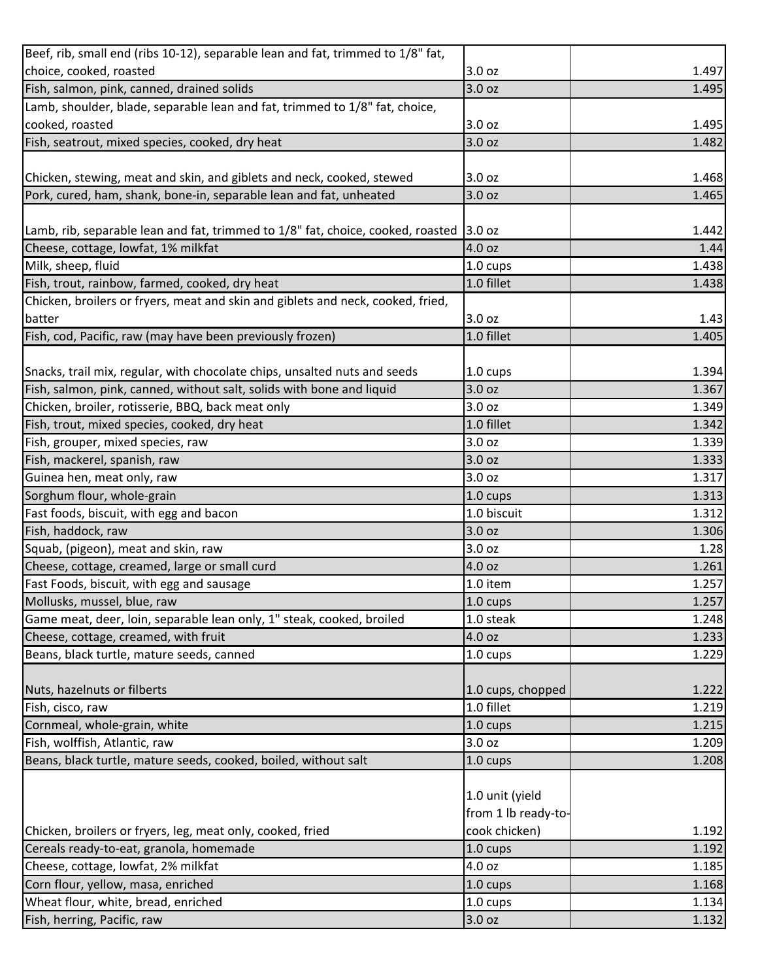| Beef, rib, small end (ribs 10-12), separable lean and fat, trimmed to 1/8" fat, |                     |       |
|---------------------------------------------------------------------------------|---------------------|-------|
| choice, cooked, roasted                                                         | 3.0 oz              | 1.497 |
| Fish, salmon, pink, canned, drained solids                                      | 3.0 oz              | 1.495 |
| Lamb, shoulder, blade, separable lean and fat, trimmed to 1/8" fat, choice,     |                     |       |
| cooked, roasted                                                                 | 3.0 oz              | 1.495 |
| Fish, seatrout, mixed species, cooked, dry heat                                 | 3.0 oz              | 1.482 |
|                                                                                 |                     |       |
| Chicken, stewing, meat and skin, and giblets and neck, cooked, stewed           | 3.0 oz              | 1.468 |
| Pork, cured, ham, shank, bone-in, separable lean and fat, unheated              | 3.0 oz              | 1.465 |
|                                                                                 |                     |       |
| Lamb, rib, separable lean and fat, trimmed to 1/8" fat, choice, cooked, roasted | 3.0 oz              | 1.442 |
| Cheese, cottage, lowfat, 1% milkfat                                             | 4.0 oz              | 1.44  |
| Milk, sheep, fluid                                                              | $1.0 \text{ cups}$  | 1.438 |
| Fish, trout, rainbow, farmed, cooked, dry heat                                  | 1.0 fillet          | 1.438 |
| Chicken, broilers or fryers, meat and skin and giblets and neck, cooked, fried, |                     |       |
| batter                                                                          | 3.0 oz              | 1.43  |
| Fish, cod, Pacific, raw (may have been previously frozen)                       | 1.0 fillet          | 1.405 |
|                                                                                 |                     |       |
| Snacks, trail mix, regular, with chocolate chips, unsalted nuts and seeds       | 1.0 cups            | 1.394 |
| Fish, salmon, pink, canned, without salt, solids with bone and liquid           | 3.0 oz              | 1.367 |
| Chicken, broiler, rotisserie, BBQ, back meat only                               | 3.0 oz              | 1.349 |
| Fish, trout, mixed species, cooked, dry heat                                    | 1.0 fillet          | 1.342 |
| Fish, grouper, mixed species, raw                                               | 3.0 oz              | 1.339 |
| Fish, mackerel, spanish, raw                                                    | 3.0 oz              | 1.333 |
| Guinea hen, meat only, raw                                                      | 3.0 oz              | 1.317 |
| Sorghum flour, whole-grain                                                      | 1.0 cups            | 1.313 |
| Fast foods, biscuit, with egg and bacon                                         | 1.0 biscuit         | 1.312 |
| Fish, haddock, raw                                                              | 3.0 oz              | 1.306 |
| Squab, (pigeon), meat and skin, raw                                             | 3.0 oz              | 1.28  |
| Cheese, cottage, creamed, large or small curd                                   | 4.0 oz              | 1.261 |
| Fast Foods, biscuit, with egg and sausage                                       | 1.0 item            | 1.257 |
| Mollusks, mussel, blue, raw                                                     | $1.0 \text{ cups}$  | 1.257 |
| Game meat, deer, loin, separable lean only, 1" steak, cooked, broiled           | 1.0 steak           | 1.248 |
| Cheese, cottage, creamed, with fruit                                            | 4.0 oz              | 1.233 |
| Beans, black turtle, mature seeds, canned                                       | $1.0 \text{ cups}$  | 1.229 |
|                                                                                 |                     |       |
| Nuts, hazelnuts or filberts                                                     | 1.0 cups, chopped   | 1.222 |
| Fish, cisco, raw                                                                | 1.0 fillet          | 1.219 |
| Cornmeal, whole-grain, white                                                    | 1.0 cups            | 1.215 |
| Fish, wolffish, Atlantic, raw                                                   | 3.0 oz              | 1.209 |
| Beans, black turtle, mature seeds, cooked, boiled, without salt                 | 1.0 cups            | 1.208 |
|                                                                                 |                     |       |
|                                                                                 | 1.0 unit (yield     |       |
|                                                                                 | from 1 lb ready-to- |       |
| Chicken, broilers or fryers, leg, meat only, cooked, fried                      | cook chicken)       | 1.192 |
| Cereals ready-to-eat, granola, homemade                                         | 1.0 cups            | 1.192 |
| Cheese, cottage, lowfat, 2% milkfat                                             | 4.0 oz              | 1.185 |
| Corn flour, yellow, masa, enriched                                              | 1.0 cups            | 1.168 |
| Wheat flour, white, bread, enriched                                             | 1.0 cups            | 1.134 |
| Fish, herring, Pacific, raw                                                     | 3.0 oz              | 1.132 |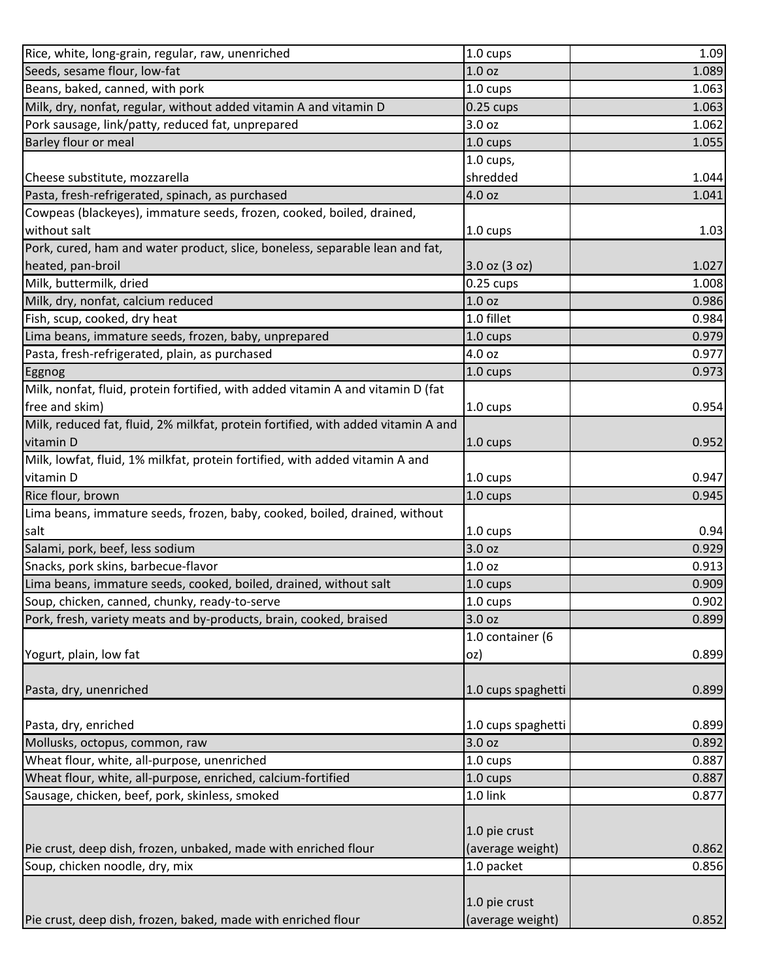| Rice, white, long-grain, regular, raw, unenriched                                 | 1.0 cups           | 1.09  |
|-----------------------------------------------------------------------------------|--------------------|-------|
| Seeds, sesame flour, low-fat                                                      | 1.0 <sub>oz</sub>  | 1.089 |
| Beans, baked, canned, with pork                                                   | 1.0 cups           | 1.063 |
| Milk, dry, nonfat, regular, without added vitamin A and vitamin D                 | $0.25$ cups        | 1.063 |
| Pork sausage, link/patty, reduced fat, unprepared                                 | 3.0 oz             | 1.062 |
| Barley flour or meal                                                              | 1.0 cups           | 1.055 |
|                                                                                   | $1.0$ cups,        |       |
| Cheese substitute, mozzarella                                                     | shredded           | 1.044 |
| Pasta, fresh-refrigerated, spinach, as purchased                                  | 4.0 oz             | 1.041 |
| Cowpeas (blackeyes), immature seeds, frozen, cooked, boiled, drained,             |                    |       |
| without salt                                                                      | 1.0 cups           | 1.03  |
| Pork, cured, ham and water product, slice, boneless, separable lean and fat,      |                    |       |
| heated, pan-broil                                                                 | 3.0 oz (3 oz)      | 1.027 |
| Milk, buttermilk, dried                                                           | $0.25$ cups        | 1.008 |
| Milk, dry, nonfat, calcium reduced                                                | 1.0 <sub>oz</sub>  | 0.986 |
| Fish, scup, cooked, dry heat                                                      | 1.0 fillet         | 0.984 |
| Lima beans, immature seeds, frozen, baby, unprepared                              | 1.0 cups           | 0.979 |
| Pasta, fresh-refrigerated, plain, as purchased                                    | 4.0 oz             | 0.977 |
| Eggnog                                                                            | 1.0 cups           | 0.973 |
| Milk, nonfat, fluid, protein fortified, with added vitamin A and vitamin D (fat   |                    |       |
| free and skim)                                                                    | 1.0 cups           | 0.954 |
| Milk, reduced fat, fluid, 2% milkfat, protein fortified, with added vitamin A and |                    |       |
|                                                                                   |                    |       |
| vitamin D                                                                         | $1.0 \text{ cups}$ | 0.952 |
| Milk, lowfat, fluid, 1% milkfat, protein fortified, with added vitamin A and      |                    |       |
| vitamin D                                                                         | 1.0 cups           | 0.947 |
| Rice flour, brown                                                                 | 1.0 cups           | 0.945 |
| Lima beans, immature seeds, frozen, baby, cooked, boiled, drained, without        |                    |       |
| salt                                                                              | 1.0 cups           | 0.94  |
| Salami, pork, beef, less sodium                                                   | 3.0 oz             | 0.929 |
| Snacks, pork skins, barbecue-flavor                                               | 1.0 <sub>oz</sub>  | 0.913 |
| Lima beans, immature seeds, cooked, boiled, drained, without salt                 | $1.0 \text{ cups}$ | 0.909 |
| Soup, chicken, canned, chunky, ready-to-serve                                     | 1.0 cups           | 0.902 |
| Pork, fresh, variety meats and by-products, brain, cooked, braised                | 3.0 oz             | 0.899 |
|                                                                                   | 1.0 container (6   |       |
| Yogurt, plain, low fat                                                            | oz)                | 0.899 |
|                                                                                   |                    |       |
| Pasta, dry, unenriched                                                            | 1.0 cups spaghetti | 0.899 |
|                                                                                   |                    |       |
| Pasta, dry, enriched                                                              | 1.0 cups spaghetti | 0.899 |
| Mollusks, octopus, common, raw                                                    | 3.0 <sub>oz</sub>  | 0.892 |
| Wheat flour, white, all-purpose, unenriched                                       | 1.0 cups           | 0.887 |
| Wheat flour, white, all-purpose, enriched, calcium-fortified                      | 1.0 cups           | 0.887 |
| Sausage, chicken, beef, pork, skinless, smoked                                    | 1.0 link           | 0.877 |
|                                                                                   |                    |       |
|                                                                                   | 1.0 pie crust      |       |
| Pie crust, deep dish, frozen, unbaked, made with enriched flour                   | (average weight)   | 0.862 |
| Soup, chicken noodle, dry, mix                                                    | 1.0 packet         | 0.856 |
|                                                                                   |                    |       |
|                                                                                   |                    |       |
|                                                                                   | 1.0 pie crust      |       |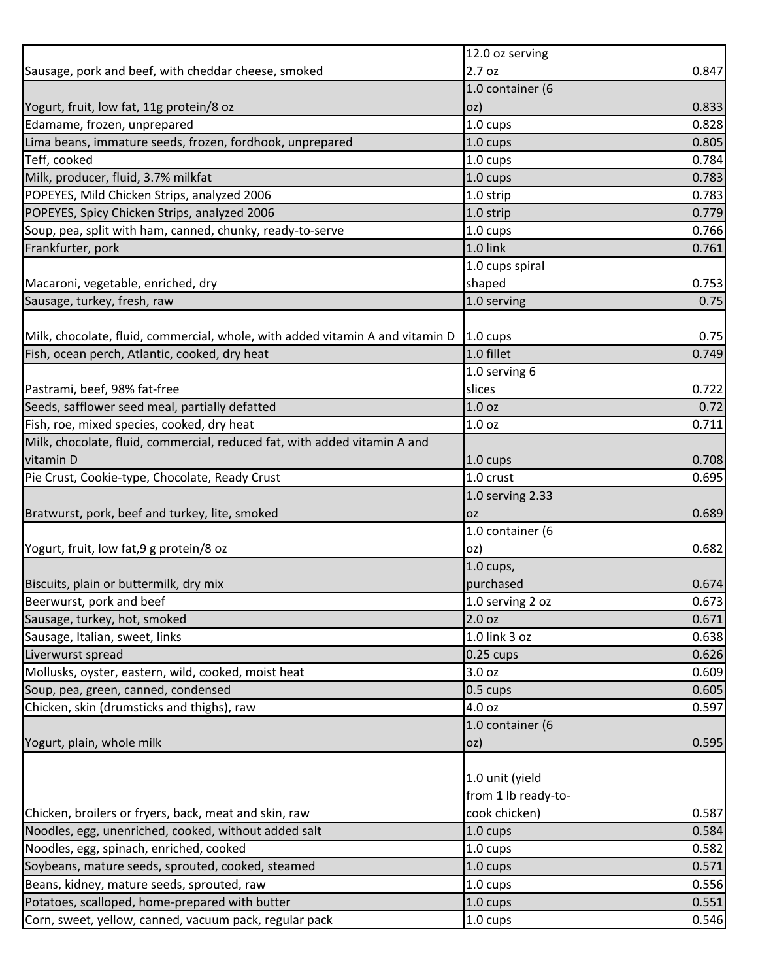|                                                                               | 12.0 oz serving     |       |
|-------------------------------------------------------------------------------|---------------------|-------|
| Sausage, pork and beef, with cheddar cheese, smoked                           | 2.7 oz              | 0.847 |
|                                                                               | 1.0 container (6    |       |
| Yogurt, fruit, low fat, 11g protein/8 oz                                      | oz)                 | 0.833 |
| Edamame, frozen, unprepared                                                   | $1.0 \text{ cups}$  | 0.828 |
| Lima beans, immature seeds, frozen, fordhook, unprepared                      | 1.0 cups            | 0.805 |
| Teff, cooked                                                                  | 1.0 cups            | 0.784 |
| Milk, producer, fluid, 3.7% milkfat                                           | 1.0 cups            | 0.783 |
| POPEYES, Mild Chicken Strips, analyzed 2006                                   | 1.0 strip           | 0.783 |
| POPEYES, Spicy Chicken Strips, analyzed 2006                                  | 1.0 strip           | 0.779 |
| Soup, pea, split with ham, canned, chunky, ready-to-serve                     | $1.0 \text{ cups}$  | 0.766 |
| Frankfurter, pork                                                             | 1.0 link            | 0.761 |
|                                                                               | 1.0 cups spiral     |       |
| Macaroni, vegetable, enriched, dry                                            | shaped              | 0.753 |
| Sausage, turkey, fresh, raw                                                   | 1.0 serving         | 0.75  |
|                                                                               |                     |       |
| Milk, chocolate, fluid, commercial, whole, with added vitamin A and vitamin D | 1.0 cups            | 0.75  |
| Fish, ocean perch, Atlantic, cooked, dry heat                                 | 1.0 fillet          | 0.749 |
|                                                                               | 1.0 serving 6       |       |
| Pastrami, beef, 98% fat-free                                                  | slices              | 0.722 |
| Seeds, safflower seed meal, partially defatted                                | 1.0 <sub>oz</sub>   | 0.72  |
| Fish, roe, mixed species, cooked, dry heat                                    | 1.0 <sub>oz</sub>   | 0.711 |
| Milk, chocolate, fluid, commercial, reduced fat, with added vitamin A and     |                     |       |
| vitamin D                                                                     | 1.0 cups            | 0.708 |
| Pie Crust, Cookie-type, Chocolate, Ready Crust                                | 1.0 crust           | 0.695 |
|                                                                               | 1.0 serving 2.33    |       |
| Bratwurst, pork, beef and turkey, lite, smoked                                | <b>OZ</b>           | 0.689 |
|                                                                               | 1.0 container (6    |       |
| Yogurt, fruit, low fat, 9 g protein/8 oz                                      | oz)                 | 0.682 |
|                                                                               | 1.0 cups,           |       |
| Biscuits, plain or buttermilk, dry mix                                        | purchased           | 0.674 |
| Beerwurst, pork and beef                                                      | 1.0 serving 2 oz    | 0.673 |
| Sausage, turkey, hot, smoked                                                  | 2.0 oz              | 0.671 |
| Sausage, Italian, sweet, links                                                | 1.0 link 3 oz       | 0.638 |
| Liverwurst spread                                                             | $0.25$ cups         | 0.626 |
| Mollusks, oyster, eastern, wild, cooked, moist heat                           | 3.0 oz              | 0.609 |
| Soup, pea, green, canned, condensed                                           | 0.5 cups            | 0.605 |
| Chicken, skin (drumsticks and thighs), raw                                    | 4.0 oz              | 0.597 |
|                                                                               | 1.0 container (6    |       |
| Yogurt, plain, whole milk                                                     | oz)                 | 0.595 |
|                                                                               |                     |       |
|                                                                               | 1.0 unit (yield     |       |
|                                                                               | from 1 lb ready-to- |       |
| Chicken, broilers or fryers, back, meat and skin, raw                         | cook chicken)       | 0.587 |
| Noodles, egg, unenriched, cooked, without added salt                          | 1.0 cups            | 0.584 |
| Noodles, egg, spinach, enriched, cooked                                       | 1.0 cups            | 0.582 |
| Soybeans, mature seeds, sprouted, cooked, steamed                             | 1.0 cups            | 0.571 |
| Beans, kidney, mature seeds, sprouted, raw                                    | 1.0 cups            | 0.556 |
| Potatoes, scalloped, home-prepared with butter                                | 1.0 cups            | 0.551 |
| Corn, sweet, yellow, canned, vacuum pack, regular pack                        | 1.0 cups            | 0.546 |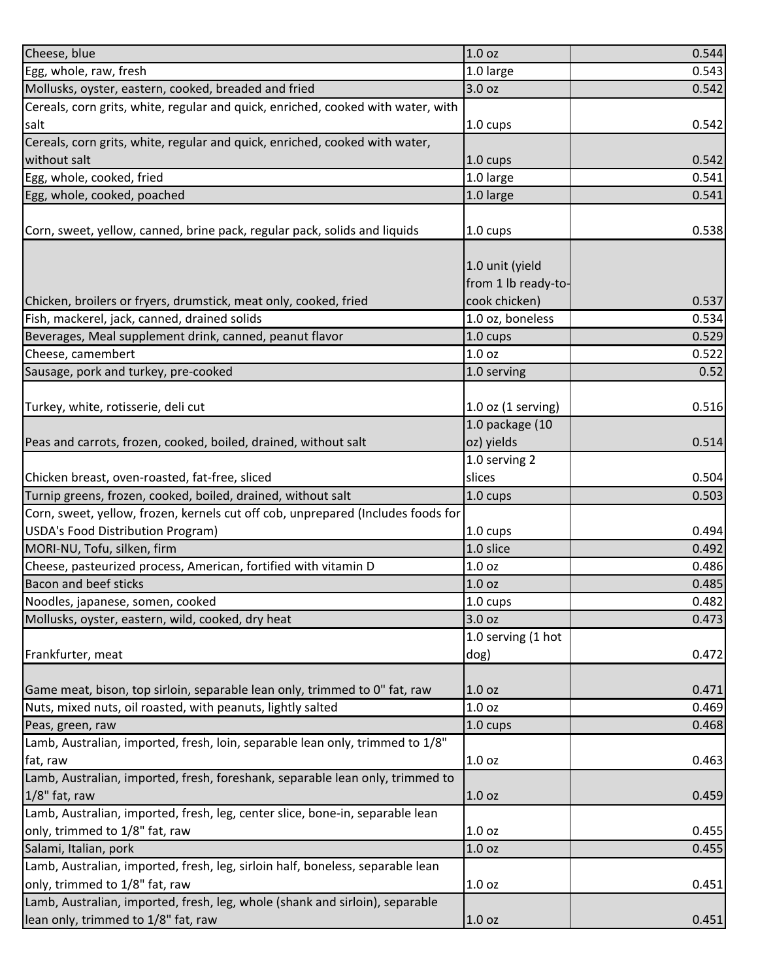| Cheese, blue                                                                     | 1.0 <sub>oz</sub>      | 0.544 |
|----------------------------------------------------------------------------------|------------------------|-------|
| Egg, whole, raw, fresh                                                           | 1.0 large              | 0.543 |
| Mollusks, oyster, eastern, cooked, breaded and fried                             | 3.0 oz                 | 0.542 |
| Cereals, corn grits, white, regular and quick, enriched, cooked with water, with |                        |       |
| salt                                                                             | 1.0 cups               | 0.542 |
| Cereals, corn grits, white, regular and quick, enriched, cooked with water,      |                        |       |
| without salt                                                                     | 1.0 cups               | 0.542 |
| Egg, whole, cooked, fried                                                        | 1.0 large              | 0.541 |
| Egg, whole, cooked, poached                                                      | 1.0 large              | 0.541 |
|                                                                                  |                        |       |
| Corn, sweet, yellow, canned, brine pack, regular pack, solids and liquids        | 1.0 cups               | 0.538 |
|                                                                                  |                        |       |
|                                                                                  | 1.0 unit (yield        |       |
|                                                                                  | from 1 lb ready-to-    |       |
| Chicken, broilers or fryers, drumstick, meat only, cooked, fried                 | cook chicken)          | 0.537 |
| Fish, mackerel, jack, canned, drained solids                                     | 1.0 oz, boneless       | 0.534 |
| Beverages, Meal supplement drink, canned, peanut flavor                          | $1.0 \text{ cups}$     | 0.529 |
| Cheese, camembert                                                                | 1.0 <sub>oz</sub>      | 0.522 |
| Sausage, pork and turkey, pre-cooked                                             | 1.0 serving            | 0.52  |
|                                                                                  |                        |       |
| Turkey, white, rotisserie, deli cut                                              | $1.0$ oz $(1$ serving) | 0.516 |
|                                                                                  | 1.0 package (10        |       |
| Peas and carrots, frozen, cooked, boiled, drained, without salt                  | oz) yields             | 0.514 |
|                                                                                  | 1.0 serving 2          |       |
| Chicken breast, oven-roasted, fat-free, sliced                                   | slices                 | 0.504 |
| Turnip greens, frozen, cooked, boiled, drained, without salt                     | 1.0 cups               | 0.503 |
| Corn, sweet, yellow, frozen, kernels cut off cob, unprepared (Includes foods for |                        |       |
| USDA's Food Distribution Program)                                                | 1.0 cups               | 0.494 |
| MORI-NU, Tofu, silken, firm                                                      | 1.0 slice              | 0.492 |
| Cheese, pasteurized process, American, fortified with vitamin D                  | 1.0 <sub>oz</sub>      | 0.486 |
| Bacon and beef sticks                                                            | 1.0 <sub>oz</sub>      | 0.485 |
| Noodles, japanese, somen, cooked                                                 | 1.0 cups               | 0.482 |
| Mollusks, oyster, eastern, wild, cooked, dry heat                                | 3.0 oz                 | 0.473 |
|                                                                                  | 1.0 serving (1 hot     |       |
| Frankfurter, meat                                                                | dog)                   | 0.472 |
|                                                                                  |                        |       |
| Game meat, bison, top sirloin, separable lean only, trimmed to 0" fat, raw       | 1.0 <sub>oz</sub>      | 0.471 |
| Nuts, mixed nuts, oil roasted, with peanuts, lightly salted                      | 1.0 <sub>oz</sub>      | 0.469 |
| Peas, green, raw                                                                 | 1.0 cups               | 0.468 |
| Lamb, Australian, imported, fresh, loin, separable lean only, trimmed to 1/8"    |                        |       |
| fat, raw                                                                         | 1.0 oz                 | 0.463 |
| Lamb, Australian, imported, fresh, foreshank, separable lean only, trimmed to    |                        |       |
| 1/8" fat, raw                                                                    | 1.0 <sub>oz</sub>      | 0.459 |
| Lamb, Australian, imported, fresh, leg, center slice, bone-in, separable lean    |                        |       |
| only, trimmed to 1/8" fat, raw                                                   | 1.0 <sub>oz</sub>      | 0.455 |
| Salami, Italian, pork                                                            | 1.0 <sub>oz</sub>      | 0.455 |
| Lamb, Australian, imported, fresh, leg, sirloin half, boneless, separable lean   |                        |       |
| only, trimmed to 1/8" fat, raw                                                   | 1.0 <sub>oz</sub>      | 0.451 |
| Lamb, Australian, imported, fresh, leg, whole (shank and sirloin), separable     |                        |       |
| lean only, trimmed to 1/8" fat, raw                                              | 1.0 oz                 | 0.451 |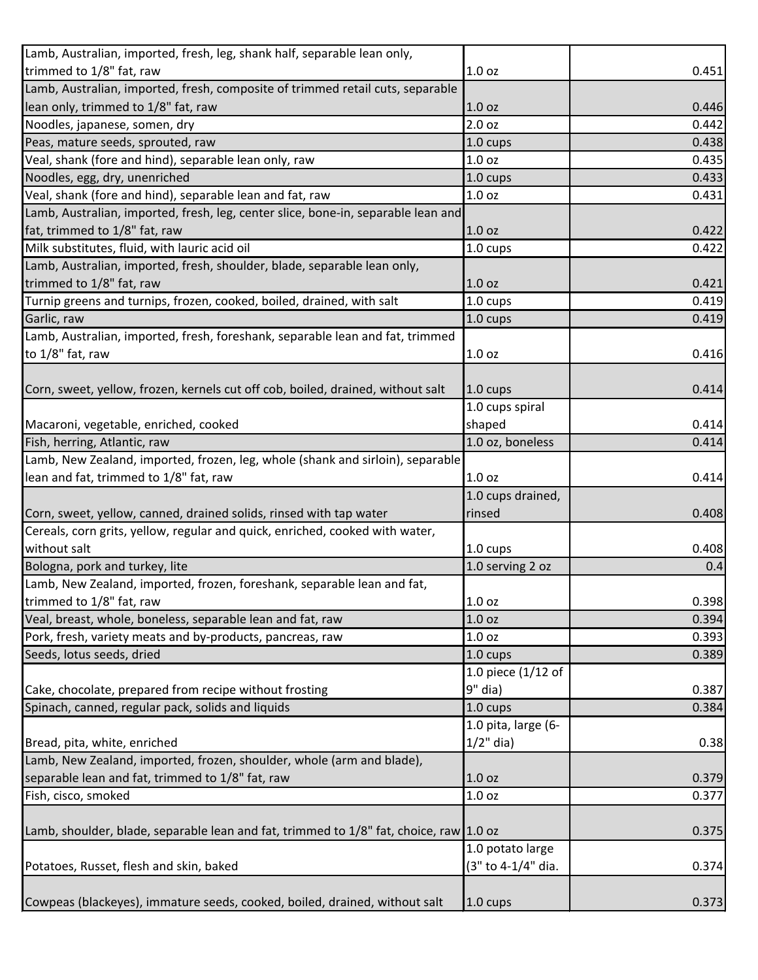| 0.451 |
|-------|
|       |
| 0.446 |
| 0.442 |
| 0.438 |
| 0.435 |
| 0.433 |
| 0.431 |
|       |
| 0.422 |
| 0.422 |
|       |
| 0.421 |
| 0.419 |
| 0.419 |
|       |
| 0.416 |
|       |
| 0.414 |
|       |
| 0.414 |
| 0.414 |
|       |
| 0.414 |
|       |
| 0.408 |
|       |
| 0.408 |
| 0.4   |
|       |
| 0.398 |
| 0.394 |
| 0.393 |
| 0.389 |
|       |
| 0.387 |
| 0.384 |
|       |
| 0.38  |
|       |
| 0.379 |
| 0.377 |
|       |
| 0.375 |
|       |
| 0.374 |
|       |
| 0.373 |
|       |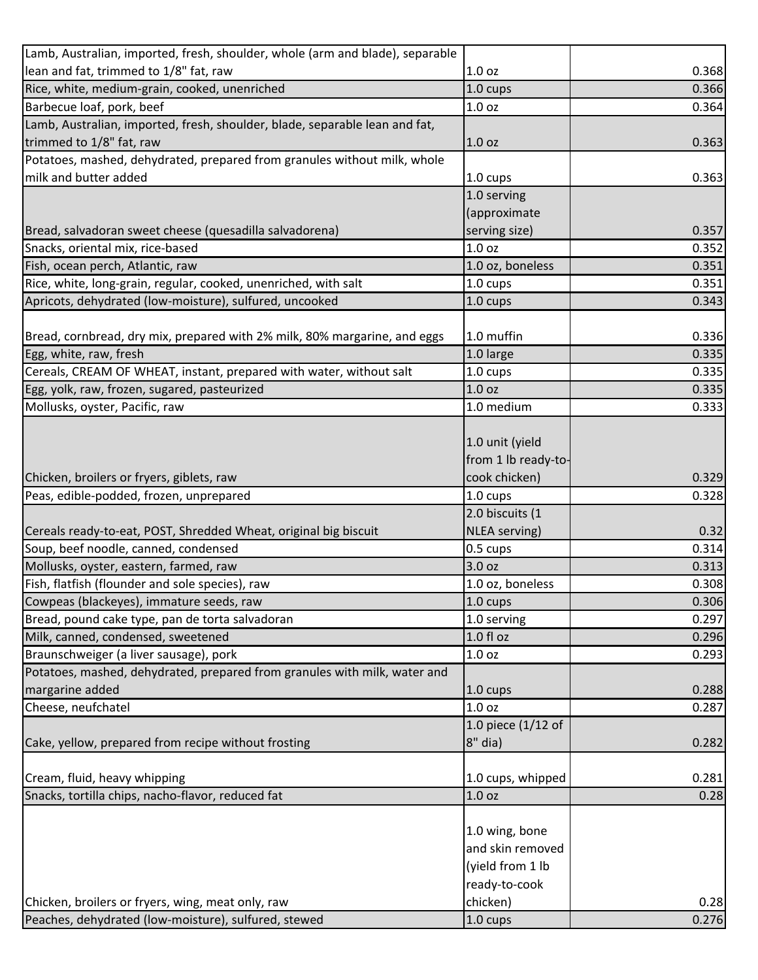| Lamb, Australian, imported, fresh, shoulder, whole (arm and blade), separable |                                                                         |       |
|-------------------------------------------------------------------------------|-------------------------------------------------------------------------|-------|
| lean and fat, trimmed to 1/8" fat, raw                                        | 1.0 oz                                                                  | 0.368 |
| Rice, white, medium-grain, cooked, unenriched                                 | 1.0 cups                                                                | 0.366 |
| Barbecue loaf, pork, beef                                                     | 1.0 oz                                                                  | 0.364 |
| Lamb, Australian, imported, fresh, shoulder, blade, separable lean and fat,   |                                                                         |       |
| trimmed to 1/8" fat, raw                                                      | 1.0 <sub>oz</sub>                                                       | 0.363 |
| Potatoes, mashed, dehydrated, prepared from granules without milk, whole      |                                                                         |       |
| milk and butter added                                                         | $1.0 \text{ cups}$                                                      | 0.363 |
|                                                                               | 1.0 serving                                                             |       |
|                                                                               | (approximate                                                            |       |
| Bread, salvadoran sweet cheese (quesadilla salvadorena)                       | serving size)                                                           | 0.357 |
| Snacks, oriental mix, rice-based                                              | 1.0 <sub>oz</sub>                                                       | 0.352 |
| Fish, ocean perch, Atlantic, raw                                              | 1.0 oz, boneless                                                        | 0.351 |
| Rice, white, long-grain, regular, cooked, unenriched, with salt               | 1.0 cups                                                                | 0.351 |
| Apricots, dehydrated (low-moisture), sulfured, uncooked                       | 1.0 cups                                                                | 0.343 |
|                                                                               |                                                                         |       |
| Bread, cornbread, dry mix, prepared with 2% milk, 80% margarine, and eggs     | 1.0 muffin                                                              | 0.336 |
| Egg, white, raw, fresh                                                        | 1.0 large                                                               | 0.335 |
| Cereals, CREAM OF WHEAT, instant, prepared with water, without salt           | 1.0 cups                                                                | 0.335 |
| Egg, yolk, raw, frozen, sugared, pasteurized                                  | 1.0 <sub>oz</sub>                                                       | 0.335 |
| Mollusks, oyster, Pacific, raw                                                | 1.0 medium                                                              | 0.333 |
|                                                                               | 1.0 unit (yield<br>from 1 lb ready-to-                                  |       |
| Chicken, broilers or fryers, giblets, raw                                     | cook chicken)                                                           | 0.329 |
| Peas, edible-podded, frozen, unprepared                                       | 1.0 cups                                                                | 0.328 |
|                                                                               | 2.0 biscuits (1                                                         |       |
| Cereals ready-to-eat, POST, Shredded Wheat, original big biscuit              | NLEA serving)                                                           | 0.32  |
| Soup, beef noodle, canned, condensed                                          | 0.5 cups                                                                | 0.314 |
| Mollusks, oyster, eastern, farmed, raw                                        | 3.0 oz                                                                  | 0.313 |
| Fish, flatfish (flounder and sole species), raw                               | 1.0 oz, boneless                                                        | 0.308 |
| Cowpeas (blackeyes), immature seeds, raw                                      | $1.0 \text{ cups}$                                                      | 0.306 |
| Bread, pound cake type, pan de torta salvadoran                               | 1.0 serving                                                             | 0.297 |
| Milk, canned, condensed, sweetened                                            | 1.0 f1 oz                                                               | 0.296 |
| Braunschweiger (a liver sausage), pork                                        | 1.0 <sub>oz</sub>                                                       | 0.293 |
| Potatoes, mashed, dehydrated, prepared from granules with milk, water and     |                                                                         |       |
| margarine added                                                               | 1.0 cups                                                                | 0.288 |
| Cheese, neufchatel                                                            | 1.0 oz                                                                  | 0.287 |
|                                                                               | 1.0 piece (1/12 of                                                      |       |
| Cake, yellow, prepared from recipe without frosting                           | 8" dia)                                                                 | 0.282 |
| Cream, fluid, heavy whipping                                                  | 1.0 cups, whipped                                                       | 0.281 |
| Snacks, tortilla chips, nacho-flavor, reduced fat                             | 1.0 <sub>oz</sub>                                                       | 0.28  |
|                                                                               | 1.0 wing, bone<br>and skin removed<br>(yield from 1 lb<br>ready-to-cook |       |
| Chicken, broilers or fryers, wing, meat only, raw                             | chicken)                                                                | 0.28  |
| Peaches, dehydrated (low-moisture), sulfured, stewed                          | 1.0 cups                                                                | 0.276 |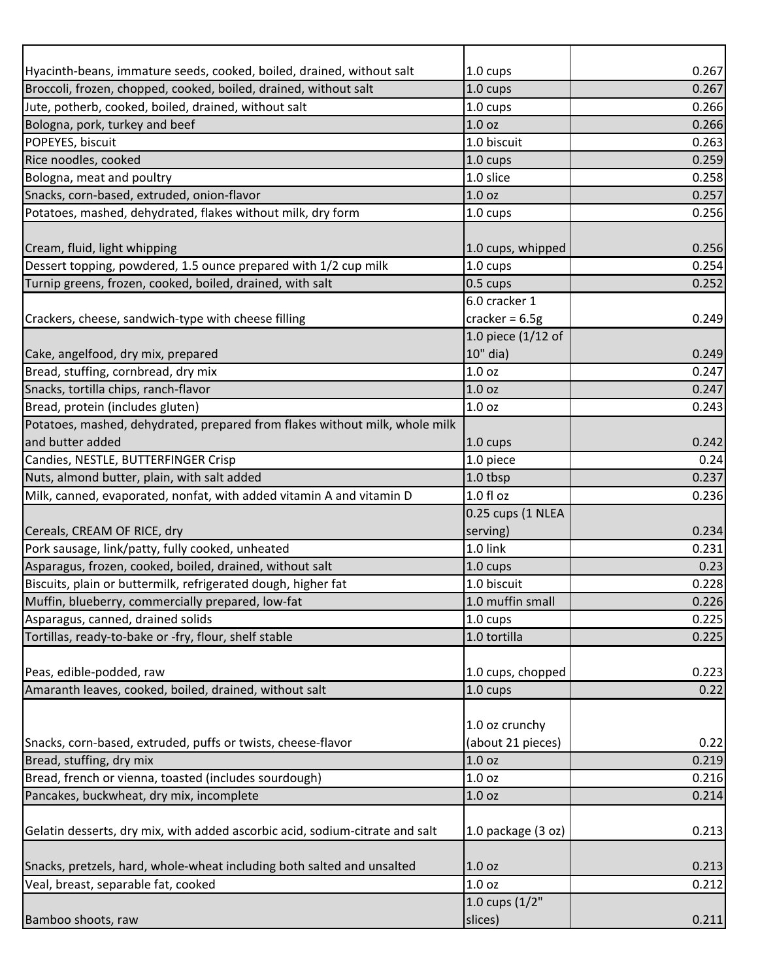| Hyacinth-beans, immature seeds, cooked, boiled, drained, without salt        | 1.0 cups           | 0.267 |
|------------------------------------------------------------------------------|--------------------|-------|
| Broccoli, frozen, chopped, cooked, boiled, drained, without salt             | 1.0 cups           | 0.267 |
| Jute, potherb, cooked, boiled, drained, without salt                         | 1.0 cups           | 0.266 |
| Bologna, pork, turkey and beef                                               | 1.0 oz             | 0.266 |
| POPEYES, biscuit                                                             | 1.0 biscuit        | 0.263 |
| Rice noodles, cooked                                                         | 1.0 cups           | 0.259 |
| Bologna, meat and poultry                                                    | 1.0 slice          | 0.258 |
| Snacks, corn-based, extruded, onion-flavor                                   | 1.0 <sub>oz</sub>  | 0.257 |
| Potatoes, mashed, dehydrated, flakes without milk, dry form                  | 1.0 cups           | 0.256 |
|                                                                              |                    |       |
| Cream, fluid, light whipping                                                 | 1.0 cups, whipped  | 0.256 |
| Dessert topping, powdered, 1.5 ounce prepared with 1/2 cup milk              | 1.0 cups           | 0.254 |
| Turnip greens, frozen, cooked, boiled, drained, with salt                    | $0.5 \text{ cups}$ | 0.252 |
|                                                                              | 6.0 cracker 1      |       |
| Crackers, cheese, sandwich-type with cheese filling                          | cracker = $6.5g$   | 0.249 |
|                                                                              | 1.0 piece (1/12 of |       |
| Cake, angelfood, dry mix, prepared                                           | 10" dia)           | 0.249 |
| Bread, stuffing, cornbread, dry mix                                          | 1.0 oz             | 0.247 |
| Snacks, tortilla chips, ranch-flavor                                         | 1.0 oz             | 0.247 |
| Bread, protein (includes gluten)                                             | 1.0 <sub>oz</sub>  | 0.243 |
| Potatoes, mashed, dehydrated, prepared from flakes without milk, whole milk  |                    |       |
| and butter added                                                             | $1.0 \text{ cups}$ | 0.242 |
| Candies, NESTLE, BUTTERFINGER Crisp                                          | 1.0 piece          | 0.24  |
| Nuts, almond butter, plain, with salt added                                  | 1.0 tbsp           | 0.237 |
| Milk, canned, evaporated, nonfat, with added vitamin A and vitamin D         | 1.0 fl oz          | 0.236 |
|                                                                              | 0.25 cups (1 NLEA  |       |
| Cereals, CREAM OF RICE, dry                                                  | serving)           | 0.234 |
| Pork sausage, link/patty, fully cooked, unheated                             | 1.0 link           | 0.231 |
| Asparagus, frozen, cooked, boiled, drained, without salt                     | $1.0 \text{ cups}$ | 0.23  |
| Biscuits, plain or buttermilk, refrigerated dough, higher fat                | 1.0 biscuit        | 0.228 |
| Muffin, blueberry, commercially prepared, low-fat                            | 1.0 muffin small   | 0.226 |
| Asparagus, canned, drained solids                                            | 1.0 cups           | 0.225 |
| Tortillas, ready-to-bake or -fry, flour, shelf stable                        | 1.0 tortilla       | 0.225 |
|                                                                              |                    |       |
| Peas, edible-podded, raw                                                     | 1.0 cups, chopped  | 0.223 |
| Amaranth leaves, cooked, boiled, drained, without salt                       | $1.0 \text{ cups}$ | 0.22  |
|                                                                              |                    |       |
|                                                                              | 1.0 oz crunchy     |       |
| Snacks, corn-based, extruded, puffs or twists, cheese-flavor                 | (about 21 pieces)  | 0.22  |
| Bread, stuffing, dry mix                                                     | 1.0 oz             | 0.219 |
| Bread, french or vienna, toasted (includes sourdough)                        | 1.0 <sub>oz</sub>  | 0.216 |
| Pancakes, buckwheat, dry mix, incomplete                                     | 1.0 <sub>oz</sub>  | 0.214 |
|                                                                              |                    |       |
| Gelatin desserts, dry mix, with added ascorbic acid, sodium-citrate and salt | 1.0 package (3 oz) | 0.213 |
|                                                                              |                    |       |
| Snacks, pretzels, hard, whole-wheat including both salted and unsalted       | 1.0 <sub>oz</sub>  | 0.213 |
| Veal, breast, separable fat, cooked                                          | 1.0 <sub>oz</sub>  | 0.212 |
|                                                                              | 1.0 cups $(1/2"$   |       |
| Bamboo shoots, raw                                                           | slices)            | 0.211 |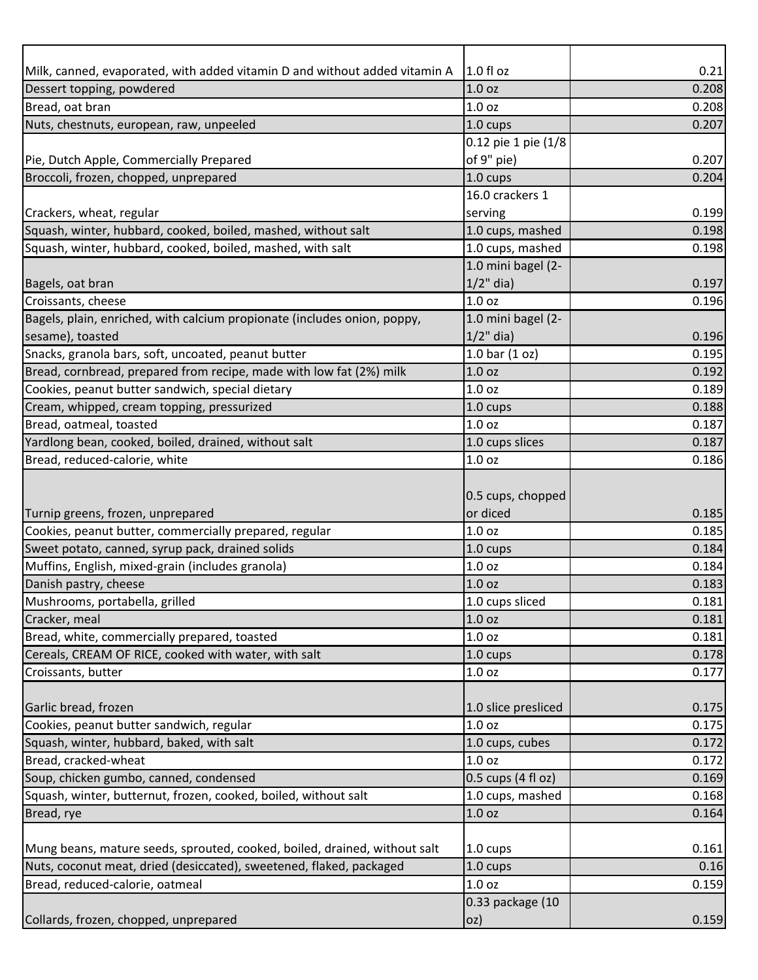| Milk, canned, evaporated, with added vitamin D and without added vitamin A | $1.0 f$ l oz         | 0.21  |
|----------------------------------------------------------------------------|----------------------|-------|
| Dessert topping, powdered                                                  | 1.0 <sub>oz</sub>    | 0.208 |
| Bread, oat bran                                                            | 1.0 <sub>oz</sub>    | 0.208 |
| Nuts, chestnuts, european, raw, unpeeled                                   | $1.0 \text{ cups}$   | 0.207 |
|                                                                            | 0.12 pie 1 pie (1/8  |       |
| Pie, Dutch Apple, Commercially Prepared                                    | of 9" pie)           | 0.207 |
| Broccoli, frozen, chopped, unprepared                                      | 1.0 cups             | 0.204 |
|                                                                            | 16.0 crackers 1      |       |
| Crackers, wheat, regular                                                   | serving              | 0.199 |
| Squash, winter, hubbard, cooked, boiled, mashed, without salt              | 1.0 cups, mashed     | 0.198 |
| Squash, winter, hubbard, cooked, boiled, mashed, with salt                 | 1.0 cups, mashed     | 0.198 |
|                                                                            | 1.0 mini bagel (2-   |       |
| Bagels, oat bran                                                           | $1/2$ " dia)         | 0.197 |
| Croissants, cheese                                                         | 1.0 <sub>oz</sub>    | 0.196 |
| Bagels, plain, enriched, with calcium propionate (includes onion, poppy,   | 1.0 mini bagel (2-   |       |
| sesame), toasted                                                           | $1/2$ " dia)         | 0.196 |
| Snacks, granola bars, soft, uncoated, peanut butter                        | 1.0 bar $(1 oz)$     | 0.195 |
| Bread, cornbread, prepared from recipe, made with low fat (2%) milk        | 1.0 <sub>oz</sub>    | 0.192 |
| Cookies, peanut butter sandwich, special dietary                           | 1.0 <sub>oz</sub>    | 0.189 |
| Cream, whipped, cream topping, pressurized                                 | 1.0 cups             | 0.188 |
| Bread, oatmeal, toasted                                                    | 1.0 <sub>oz</sub>    | 0.187 |
| Yardlong bean, cooked, boiled, drained, without salt                       | 1.0 cups slices      | 0.187 |
| Bread, reduced-calorie, white                                              | 1.0 <sub>oz</sub>    | 0.186 |
|                                                                            |                      |       |
|                                                                            | 0.5 cups, chopped    |       |
| Turnip greens, frozen, unprepared                                          | or diced             | 0.185 |
| Cookies, peanut butter, commercially prepared, regular                     | 1.0 oz               | 0.185 |
| Sweet potato, canned, syrup pack, drained solids                           | 1.0 cups             | 0.184 |
| Muffins, English, mixed-grain (includes granola)                           | 1.0 <sub>oz</sub>    | 0.184 |
| Danish pastry, cheese                                                      | 1.0 <sub>oz</sub>    | 0.183 |
| Mushrooms, portabella, grilled                                             | 1.0 cups sliced      | 0.181 |
| Cracker, meal                                                              | 1.0 <sub>oz</sub>    | 0.181 |
| Bread, white, commercially prepared, toasted                               | 1.0 <sub>oz</sub>    | 0.181 |
| Cereals, CREAM OF RICE, cooked with water, with salt                       | 1.0 cups             | 0.178 |
| Croissants, butter                                                         | 1.0 oz               | 0.177 |
|                                                                            |                      |       |
| Garlic bread, frozen                                                       | 1.0 slice presliced  | 0.175 |
| Cookies, peanut butter sandwich, regular                                   | 1.0 <sub>oz</sub>    | 0.175 |
| Squash, winter, hubbard, baked, with salt                                  | 1.0 cups, cubes      | 0.172 |
| Bread, cracked-wheat                                                       | 1.0 <sub>oz</sub>    | 0.172 |
| Soup, chicken gumbo, canned, condensed                                     | $0.5$ cups (4 fl oz) | 0.169 |
| Squash, winter, butternut, frozen, cooked, boiled, without salt            | 1.0 cups, mashed     | 0.168 |
| Bread, rye                                                                 | 1.0 oz               | 0.164 |
|                                                                            |                      |       |
| Mung beans, mature seeds, sprouted, cooked, boiled, drained, without salt  | 1.0 cups             | 0.161 |
| Nuts, coconut meat, dried (desiccated), sweetened, flaked, packaged        | 1.0 cups             | 0.16  |
| Bread, reduced-calorie, oatmeal                                            | 1.0 <sub>oz</sub>    | 0.159 |
|                                                                            | 0.33 package (10     |       |
| Collards, frozen, chopped, unprepared                                      | oz)                  | 0.159 |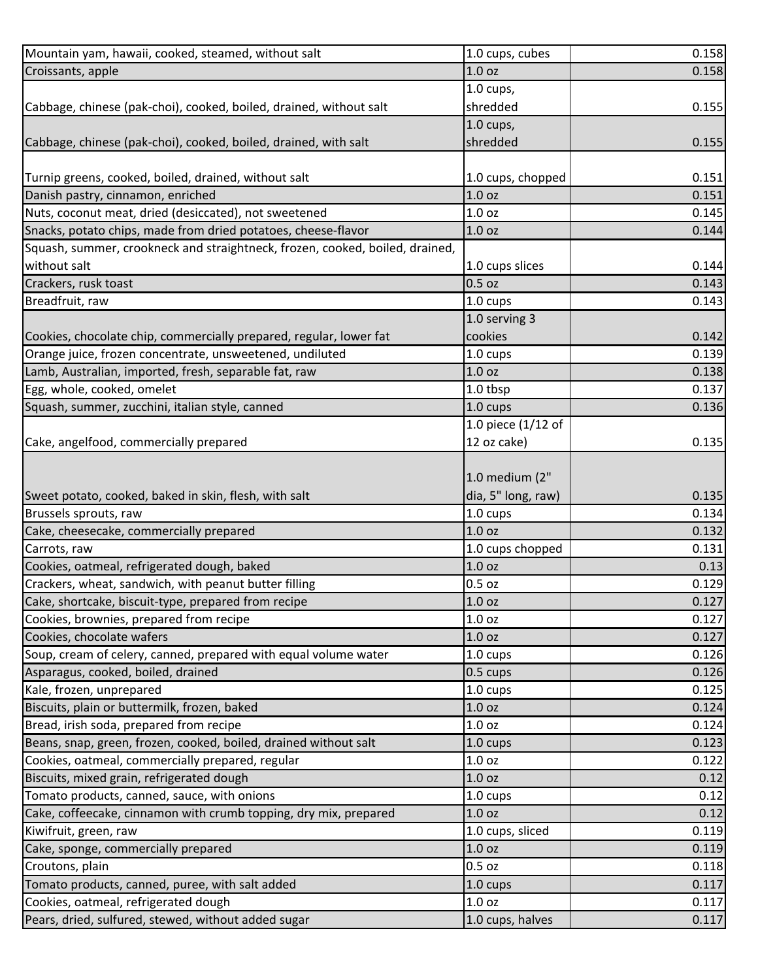| Mountain yam, hawaii, cooked, steamed, without salt                          | 1.0 cups, cubes    | 0.158 |
|------------------------------------------------------------------------------|--------------------|-------|
| Croissants, apple                                                            | 1.0 oz             | 0.158 |
|                                                                              | $1.0$ cups,        |       |
| Cabbage, chinese (pak-choi), cooked, boiled, drained, without salt           | shredded           | 0.155 |
|                                                                              | $1.0$ cups,        |       |
| Cabbage, chinese (pak-choi), cooked, boiled, drained, with salt              | shredded           | 0.155 |
|                                                                              |                    |       |
| Turnip greens, cooked, boiled, drained, without salt                         | 1.0 cups, chopped  | 0.151 |
| Danish pastry, cinnamon, enriched                                            | 1.0 oz             | 0.151 |
| Nuts, coconut meat, dried (desiccated), not sweetened                        | 1.0 <sub>oz</sub>  | 0.145 |
| Snacks, potato chips, made from dried potatoes, cheese-flavor                | 1.0 oz             | 0.144 |
| Squash, summer, crookneck and straightneck, frozen, cooked, boiled, drained, |                    |       |
| without salt                                                                 | 1.0 cups slices    | 0.144 |
| Crackers, rusk toast                                                         | 0.5 oz             | 0.143 |
| Breadfruit, raw                                                              | 1.0 cups           | 0.143 |
|                                                                              | 1.0 serving 3      |       |
| Cookies, chocolate chip, commercially prepared, regular, lower fat           | cookies            | 0.142 |
| Orange juice, frozen concentrate, unsweetened, undiluted                     | 1.0 cups           | 0.139 |
| Lamb, Australian, imported, fresh, separable fat, raw                        | 1.0 oz             | 0.138 |
| Egg, whole, cooked, omelet                                                   | 1.0 tbsp           | 0.137 |
| Squash, summer, zucchini, italian style, canned                              | $1.0 \text{ cups}$ | 0.136 |
|                                                                              | 1.0 piece (1/12 of |       |
| Cake, angelfood, commercially prepared                                       | 12 oz cake)        | 0.135 |
|                                                                              |                    |       |
|                                                                              | 1.0 medium (2"     |       |
| Sweet potato, cooked, baked in skin, flesh, with salt                        | dia, 5" long, raw) | 0.135 |
| Brussels sprouts, raw                                                        | 1.0 cups           | 0.134 |
| Cake, cheesecake, commercially prepared                                      | 1.0 oz             | 0.132 |
| Carrots, raw                                                                 | 1.0 cups chopped   | 0.131 |
| Cookies, oatmeal, refrigerated dough, baked                                  | 1.0 oz             | 0.13  |
| Crackers, wheat, sandwich, with peanut butter filling                        | 0.5 oz             | 0.129 |
| Cake, shortcake, biscuit-type, prepared from recipe                          | 1.0 <sub>oz</sub>  | 0.127 |
| Cookies, brownies, prepared from recipe                                      | 1.0 <sub>oz</sub>  | 0.127 |
| Cookies, chocolate wafers                                                    | 1.0 oz             | 0.127 |
| Soup, cream of celery, canned, prepared with equal volume water              | 1.0 cups           | 0.126 |
| Asparagus, cooked, boiled, drained                                           | $0.5 \text{ cups}$ | 0.126 |
| Kale, frozen, unprepared                                                     | 1.0 cups           | 0.125 |
| Biscuits, plain or buttermilk, frozen, baked                                 | 1.0 oz             | 0.124 |
| Bread, irish soda, prepared from recipe                                      | 1.0 oz             | 0.124 |
| Beans, snap, green, frozen, cooked, boiled, drained without salt             |                    | 0.123 |
| Cookies, oatmeal, commercially prepared, regular                             | 1.0 cups<br>1.0 oz | 0.122 |
|                                                                              |                    |       |
| Biscuits, mixed grain, refrigerated dough                                    | 1.0 <sub>oz</sub>  | 0.12  |
| Tomato products, canned, sauce, with onions                                  | 1.0 cups           | 0.12  |
| Cake, coffeecake, cinnamon with crumb topping, dry mix, prepared             | 1.0 oz             | 0.12  |
| Kiwifruit, green, raw                                                        | 1.0 cups, sliced   | 0.119 |
| Cake, sponge, commercially prepared                                          | 1.0 oz             | 0.119 |
| Croutons, plain                                                              | $0.5$ oz           | 0.118 |
| Tomato products, canned, puree, with salt added                              | 1.0 cups           | 0.117 |
| Cookies, oatmeal, refrigerated dough                                         | 1.0 oz             | 0.117 |
| Pears, dried, sulfured, stewed, without added sugar                          | 1.0 cups, halves   | 0.117 |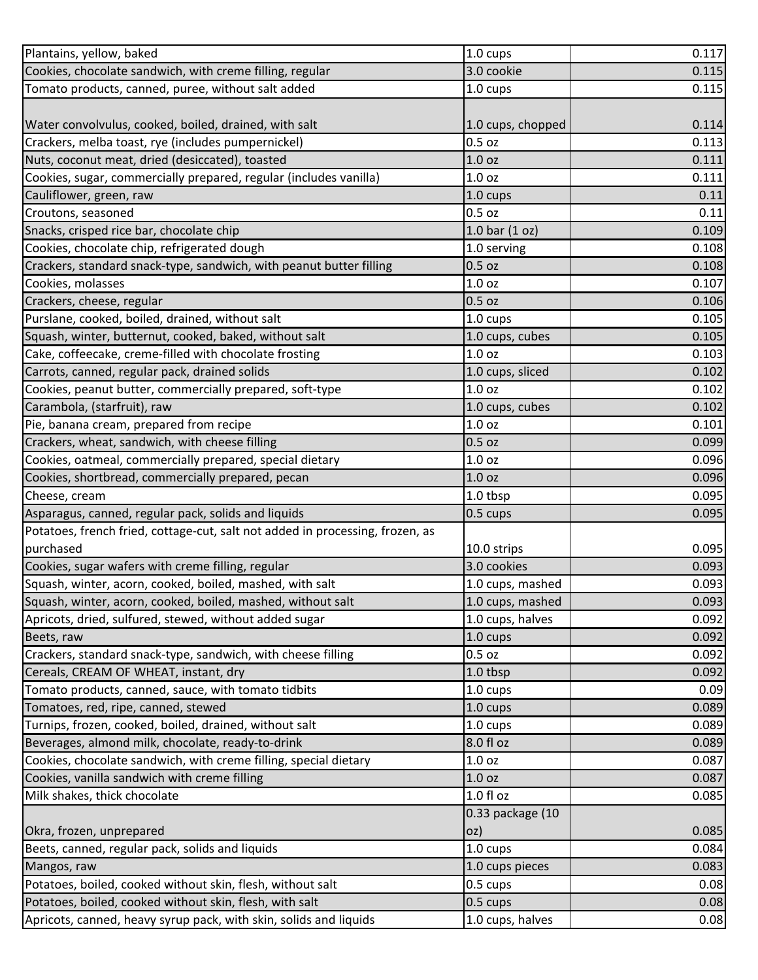| Plantains, yellow, baked                                                      | 1.0 cups           | 0.117 |
|-------------------------------------------------------------------------------|--------------------|-------|
| Cookies, chocolate sandwich, with creme filling, regular                      | 3.0 cookie         | 0.115 |
| Tomato products, canned, puree, without salt added                            | 1.0 cups           | 0.115 |
|                                                                               |                    |       |
| Water convolvulus, cooked, boiled, drained, with salt                         | 1.0 cups, chopped  | 0.114 |
| Crackers, melba toast, rye (includes pumpernickel)                            | 0.5 oz             | 0.113 |
| Nuts, coconut meat, dried (desiccated), toasted                               | 1.0 oz             | 0.111 |
| Cookies, sugar, commercially prepared, regular (includes vanilla)             | 1.0 <sub>oz</sub>  | 0.111 |
| Cauliflower, green, raw                                                       | 1.0 cups           | 0.11  |
| Croutons, seasoned                                                            | $0.5$ oz           | 0.11  |
| Snacks, crisped rice bar, chocolate chip                                      | 1.0 bar $(1 oz)$   | 0.109 |
| Cookies, chocolate chip, refrigerated dough                                   | 1.0 serving        | 0.108 |
| Crackers, standard snack-type, sandwich, with peanut butter filling           | $0.5$ oz           | 0.108 |
| Cookies, molasses                                                             | 1.0 <sub>oz</sub>  | 0.107 |
| Crackers, cheese, regular                                                     | $0.5$ oz           | 0.106 |
| Purslane, cooked, boiled, drained, without salt                               | 1.0 cups           | 0.105 |
| Squash, winter, butternut, cooked, baked, without salt                        | 1.0 cups, cubes    | 0.105 |
| Cake, coffeecake, creme-filled with chocolate frosting                        | 1.0 <sub>oz</sub>  | 0.103 |
| Carrots, canned, regular pack, drained solids                                 | 1.0 cups, sliced   | 0.102 |
| Cookies, peanut butter, commercially prepared, soft-type                      | 1.0 <sub>oz</sub>  | 0.102 |
| Carambola, (starfruit), raw                                                   | 1.0 cups, cubes    | 0.102 |
| Pie, banana cream, prepared from recipe                                       | 1.0 oz             | 0.101 |
| Crackers, wheat, sandwich, with cheese filling                                | $0.5$ oz           | 0.099 |
| Cookies, oatmeal, commercially prepared, special dietary                      | 1.0 <sub>oz</sub>  | 0.096 |
| Cookies, shortbread, commercially prepared, pecan                             | 1.0 <sub>oz</sub>  | 0.096 |
| Cheese, cream                                                                 | 1.0 tbsp           | 0.095 |
| Asparagus, canned, regular pack, solids and liquids                           | 0.5 cups           | 0.095 |
| Potatoes, french fried, cottage-cut, salt not added in processing, frozen, as |                    |       |
| purchased                                                                     | 10.0 strips        | 0.095 |
| Cookies, sugar wafers with creme filling, regular                             | 3.0 cookies        | 0.093 |
| Squash, winter, acorn, cooked, boiled, mashed, with salt                      | 1.0 cups, mashed   | 0.093 |
| Squash, winter, acorn, cooked, boiled, mashed, without salt                   | 1.0 cups, mashed   | 0.093 |
| Apricots, dried, sulfured, stewed, without added sugar                        | 1.0 cups, halves   | 0.092 |
| Beets, raw                                                                    | 1.0 cups           | 0.092 |
| Crackers, standard snack-type, sandwich, with cheese filling                  | $0.5$ oz           | 0.092 |
| Cereals, CREAM OF WHEAT, instant, dry                                         | 1.0 tbsp           | 0.092 |
| Tomato products, canned, sauce, with tomato tidbits                           | 1.0 cups           | 0.09  |
| Tomatoes, red, ripe, canned, stewed                                           | 1.0 cups           | 0.089 |
| Turnips, frozen, cooked, boiled, drained, without salt                        | 1.0 cups           | 0.089 |
| Beverages, almond milk, chocolate, ready-to-drink                             | 8.0 fl oz          | 0.089 |
| Cookies, chocolate sandwich, with creme filling, special dietary              | 1.0 <sub>oz</sub>  | 0.087 |
| Cookies, vanilla sandwich with creme filling                                  | 1.0 oz             | 0.087 |
| Milk shakes, thick chocolate                                                  | 1.0 f1 oz          | 0.085 |
|                                                                               | 0.33 package (10   |       |
| Okra, frozen, unprepared                                                      | OZ)                | 0.085 |
| Beets, canned, regular pack, solids and liquids                               | $1.0 \text{ cups}$ | 0.084 |
| Mangos, raw                                                                   | 1.0 cups pieces    | 0.083 |
| Potatoes, boiled, cooked without skin, flesh, without salt                    | 0.5 cups           | 0.08  |
| Potatoes, boiled, cooked without skin, flesh, with salt                       | 0.5 cups           | 0.08  |
| Apricots, canned, heavy syrup pack, with skin, solids and liquids             | 1.0 cups, halves   | 0.08  |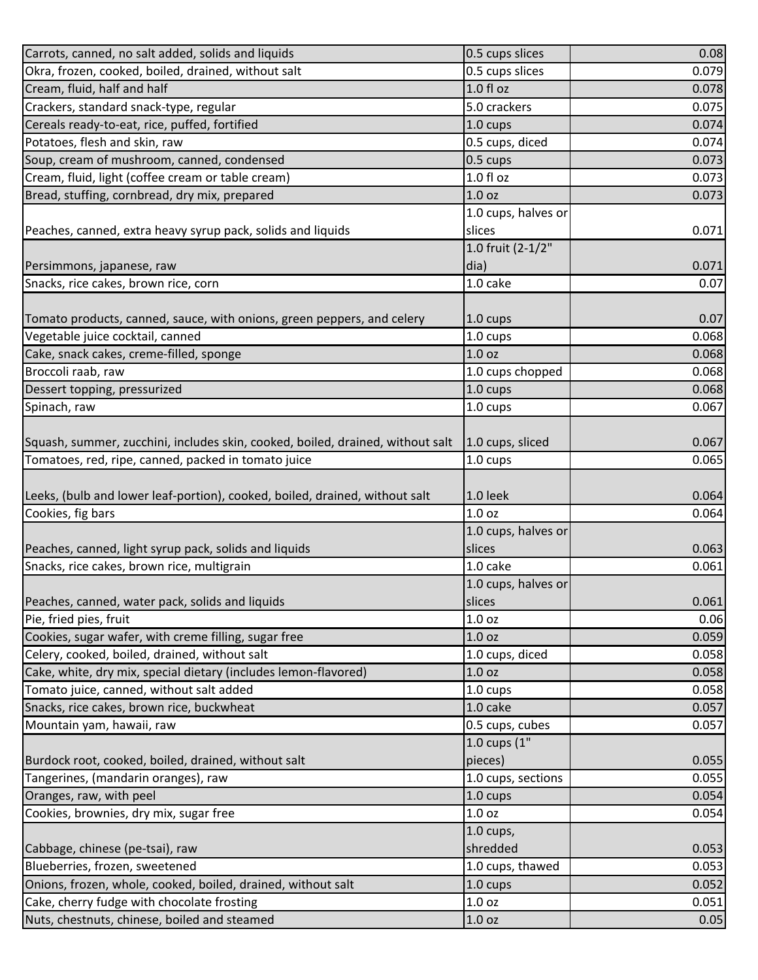| Carrots, canned, no salt added, solids and liquids                             | 0.5 cups slices     | 0.08  |
|--------------------------------------------------------------------------------|---------------------|-------|
| Okra, frozen, cooked, boiled, drained, without salt                            | 0.5 cups slices     | 0.079 |
| Cream, fluid, half and half                                                    | $1.0 f$ l oz        | 0.078 |
| Crackers, standard snack-type, regular                                         | 5.0 crackers        | 0.075 |
| Cereals ready-to-eat, rice, puffed, fortified                                  | $1.0 \text{ cups}$  | 0.074 |
| Potatoes, flesh and skin, raw                                                  | 0.5 cups, diced     | 0.074 |
| Soup, cream of mushroom, canned, condensed                                     | 0.5 cups            | 0.073 |
| Cream, fluid, light (coffee cream or table cream)                              | $1.0 f$ l oz        | 0.073 |
| Bread, stuffing, cornbread, dry mix, prepared                                  | 1.0 <sub>oz</sub>   | 0.073 |
|                                                                                | 1.0 cups, halves or |       |
| Peaches, canned, extra heavy syrup pack, solids and liquids                    | slices              | 0.071 |
|                                                                                | 1.0 fruit (2-1/2"   |       |
| Persimmons, japanese, raw                                                      | dia)                | 0.071 |
| Snacks, rice cakes, brown rice, corn                                           | 1.0 cake            | 0.07  |
|                                                                                |                     |       |
| Tomato products, canned, sauce, with onions, green peppers, and celery         | 1.0 cups            | 0.07  |
| Vegetable juice cocktail, canned                                               | 1.0 cups            | 0.068 |
| Cake, snack cakes, creme-filled, sponge                                        | 1.0 oz              | 0.068 |
| Broccoli raab, raw                                                             | 1.0 cups chopped    | 0.068 |
| Dessert topping, pressurized                                                   | 1.0 cups            | 0.068 |
| Spinach, raw                                                                   | 1.0 cups            | 0.067 |
|                                                                                |                     |       |
| Squash, summer, zucchini, includes skin, cooked, boiled, drained, without salt | 1.0 cups, sliced    | 0.067 |
| Tomatoes, red, ripe, canned, packed in tomato juice                            | 1.0 cups            | 0.065 |
|                                                                                |                     |       |
| Leeks, (bulb and lower leaf-portion), cooked, boiled, drained, without salt    | 1.0 leek            | 0.064 |
| Cookies, fig bars                                                              | 1.0 <sub>oz</sub>   | 0.064 |
|                                                                                | 1.0 cups, halves or |       |
| Peaches, canned, light syrup pack, solids and liquids                          | slices              | 0.063 |
| Snacks, rice cakes, brown rice, multigrain                                     | 1.0 cake            | 0.061 |
|                                                                                | 1.0 cups, halves or |       |
| Peaches, canned, water pack, solids and liquids                                | slices              | 0.061 |
| Pie, fried pies, fruit                                                         | 1.0 <sub>oz</sub>   | 0.06  |
| Cookies, sugar wafer, with creme filling, sugar free                           | 1.0 oz              | 0.059 |
| Celery, cooked, boiled, drained, without salt                                  | 1.0 cups, diced     | 0.058 |
| Cake, white, dry mix, special dietary (includes lemon-flavored)                | 1.0 oz              | 0.058 |
| Tomato juice, canned, without salt added                                       | $1.0 \text{ cups}$  | 0.058 |
| Snacks, rice cakes, brown rice, buckwheat                                      | 1.0 cake            | 0.057 |
| Mountain yam, hawaii, raw                                                      | 0.5 cups, cubes     | 0.057 |
|                                                                                | 1.0 cups (1"        |       |
| Burdock root, cooked, boiled, drained, without salt                            | pieces)             | 0.055 |
| Tangerines, (mandarin oranges), raw                                            | 1.0 cups, sections  | 0.055 |
| Oranges, raw, with peel                                                        | 1.0 cups            | 0.054 |
| Cookies, brownies, dry mix, sugar free                                         | 1.0 oz              | 0.054 |
|                                                                                | $1.0$ cups,         |       |
| Cabbage, chinese (pe-tsai), raw                                                | shredded            | 0.053 |
| Blueberries, frozen, sweetened                                                 | 1.0 cups, thawed    | 0.053 |
| Onions, frozen, whole, cooked, boiled, drained, without salt                   | 1.0 cups            | 0.052 |
| Cake, cherry fudge with chocolate frosting                                     | 1.0 oz              | 0.051 |
| Nuts, chestnuts, chinese, boiled and steamed                                   | 1.0 oz              | 0.05  |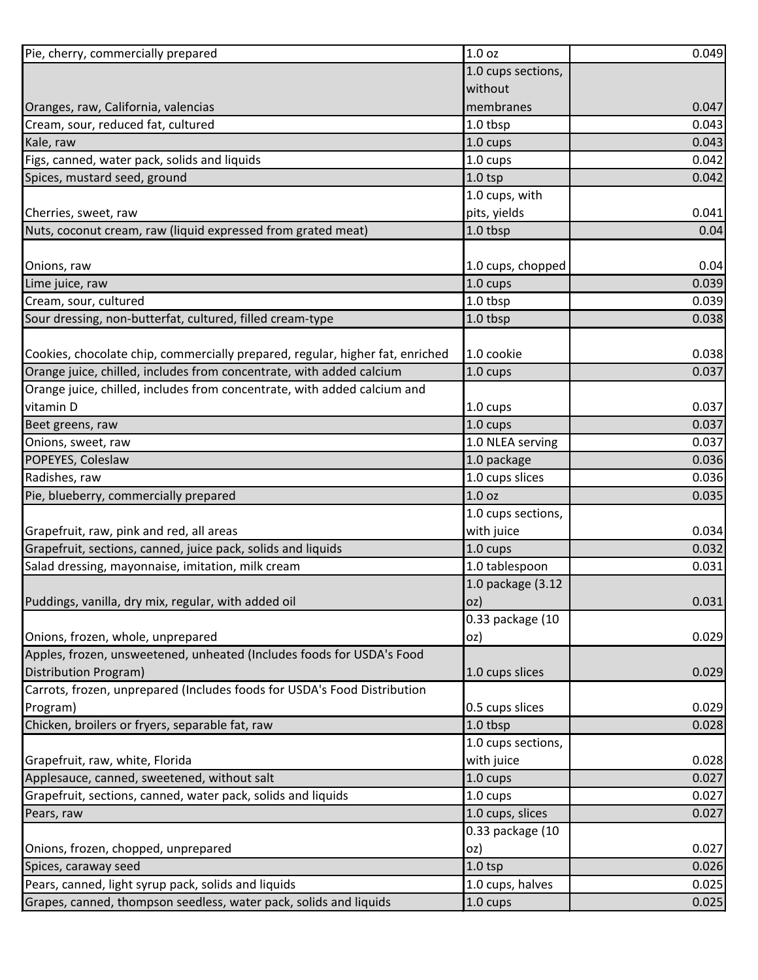| Pie, cherry, commercially prepared                                            | 1.0 oz             | 0.049 |
|-------------------------------------------------------------------------------|--------------------|-------|
|                                                                               | 1.0 cups sections, |       |
|                                                                               | without            |       |
| Oranges, raw, California, valencias                                           | membranes          | 0.047 |
| Cream, sour, reduced fat, cultured                                            | 1.0 tbsp           | 0.043 |
| Kale, raw                                                                     | 1.0 cups           | 0.043 |
| Figs, canned, water pack, solids and liquids                                  | 1.0 cups           | 0.042 |
| Spices, mustard seed, ground                                                  | $1.0$ tsp          | 0.042 |
|                                                                               | 1.0 cups, with     |       |
| Cherries, sweet, raw                                                          | pits, yields       | 0.041 |
| Nuts, coconut cream, raw (liquid expressed from grated meat)                  | 1.0 tbsp           | 0.04  |
|                                                                               |                    |       |
| Onions, raw                                                                   | 1.0 cups, chopped  | 0.04  |
| Lime juice, raw                                                               | 1.0 cups           | 0.039 |
| Cream, sour, cultured                                                         | 1.0 tbsp           | 0.039 |
| Sour dressing, non-butterfat, cultured, filled cream-type                     | 1.0 tbsp           | 0.038 |
|                                                                               |                    |       |
| Cookies, chocolate chip, commercially prepared, regular, higher fat, enriched | 1.0 cookie         | 0.038 |
| Orange juice, chilled, includes from concentrate, with added calcium          | 1.0 cups           | 0.037 |
| Orange juice, chilled, includes from concentrate, with added calcium and      |                    |       |
| vitamin D                                                                     | 1.0 cups           | 0.037 |
| Beet greens, raw                                                              | $1.0 \text{ cups}$ | 0.037 |
| Onions, sweet, raw                                                            | 1.0 NLEA serving   | 0.037 |
| POPEYES, Coleslaw                                                             | 1.0 package        | 0.036 |
| Radishes, raw                                                                 | 1.0 cups slices    | 0.036 |
| Pie, blueberry, commercially prepared                                         | 1.0 <sub>oz</sub>  | 0.035 |
|                                                                               | 1.0 cups sections, |       |
| Grapefruit, raw, pink and red, all areas                                      | with juice         | 0.034 |
| Grapefruit, sections, canned, juice pack, solids and liquids                  | 1.0 cups           | 0.032 |
| Salad dressing, mayonnaise, imitation, milk cream                             | 1.0 tablespoon     | 0.031 |
|                                                                               | 1.0 package (3.12  |       |
| Puddings, vanilla, dry mix, regular, with added oil                           | OZ)                | 0.031 |
|                                                                               | 0.33 package (10   |       |
| Onions, frozen, whole, unprepared                                             | oz)                | 0.029 |
| Apples, frozen, unsweetened, unheated (Includes foods for USDA's Food         |                    |       |
| Distribution Program)                                                         | 1.0 cups slices    | 0.029 |
| Carrots, frozen, unprepared (Includes foods for USDA's Food Distribution      |                    |       |
| Program)                                                                      | 0.5 cups slices    | 0.029 |
| Chicken, broilers or fryers, separable fat, raw                               | 1.0 tbsp           | 0.028 |
|                                                                               | 1.0 cups sections, |       |
| Grapefruit, raw, white, Florida                                               | with juice         | 0.028 |
| Applesauce, canned, sweetened, without salt                                   | 1.0 cups           | 0.027 |
| Grapefruit, sections, canned, water pack, solids and liquids                  | 1.0 cups           | 0.027 |
| Pears, raw                                                                    | 1.0 cups, slices   | 0.027 |
|                                                                               | 0.33 package (10   |       |
| Onions, frozen, chopped, unprepared                                           | oz)                | 0.027 |
| Spices, caraway seed                                                          | $1.0$ tsp          | 0.026 |
| Pears, canned, light syrup pack, solids and liquids                           | 1.0 cups, halves   | 0.025 |
| Grapes, canned, thompson seedless, water pack, solids and liquids             | 1.0 cups           | 0.025 |
|                                                                               |                    |       |